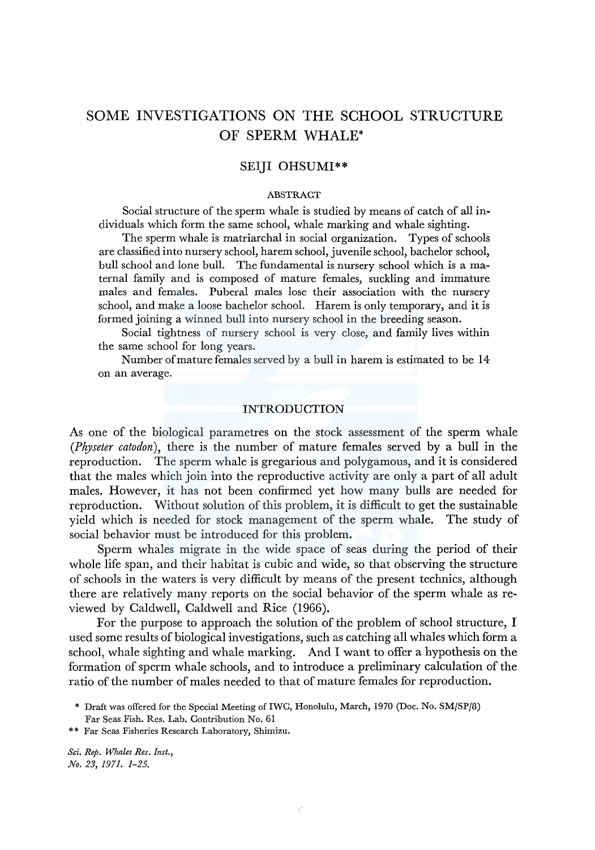# SOME INVESTIGATIONS ON THE SCHOOL STRUCTURE OF SPERM WHALE\*

# SEIJI OHSUMI\*\*

### ABSTRACT

Social structure of the sperm whale is studied by means of catch of all individuals which form the same school, whale marking and whale sighting.

The sperm whale is matriarchal in social organization. Types of schools are classified into nursery school, harem school, juvenile school, bachelor school, bull school and lone bull. The fundamental is nursery school which is a maternal family and is composed of mature females, suckling and immature males and females. Puberal males lose their association with the nursery school, and make a loose bachelor school. Harem is only temporary, and it is formed joining a winned bull into nursery school in the breeding season.

Social tightness of nursery school is very close, and family lives within the same school for long years.

Number of mature females served by a bull in harem is estimated to be 14 on an average.

# INTRODUCTION

As one of the biological parametres on the stock assessment of the sperm whale *(Physeter catodon),* there is the number of mature females served by a bull in the reproduction. The sperm whale is gregarious and polygamous, and it is considered that the males which join into the reproductive activity are only a part of all adult males. However, it has not been confirmed yet how many bulls are needed for reproduction. Without solution of this problem, it is difficult to get the sustainable yield which is needed for stock management of the sperm whale. The study of social behavior must be introduced for this problem.

Sperm whales migrate in the wide space of seas during the period of their whole life span, and their habitat is cubic and wide, so that observing the structure of schools in the waters is very difficult by means of the present technics, although there are relatively many reports on the social behavior of the sperm whale as reviewed by Caldwell, Caldwell and Rice (1966).

For the purpose to approach the solution of the problem of school structure, I used some results of biological investigations, such as catching all whales which form a school, whale sighting and whale marking. And I want to offer a hypothesis on the formation of sperm whale schools, and to introduce a preliminary calculation of the ratio of the number of males needed to that of mature females for reproduction.

\*\* Far Seas Fisheries Research Laboratory, Shimizu.

<sup>\*</sup> Draft was offered for the Special Meeting of IWC, Honolulu, March, 1970 (Doc. No. SM/SP/8) Far Seas Fish. Res. Lab. Contribution No. 61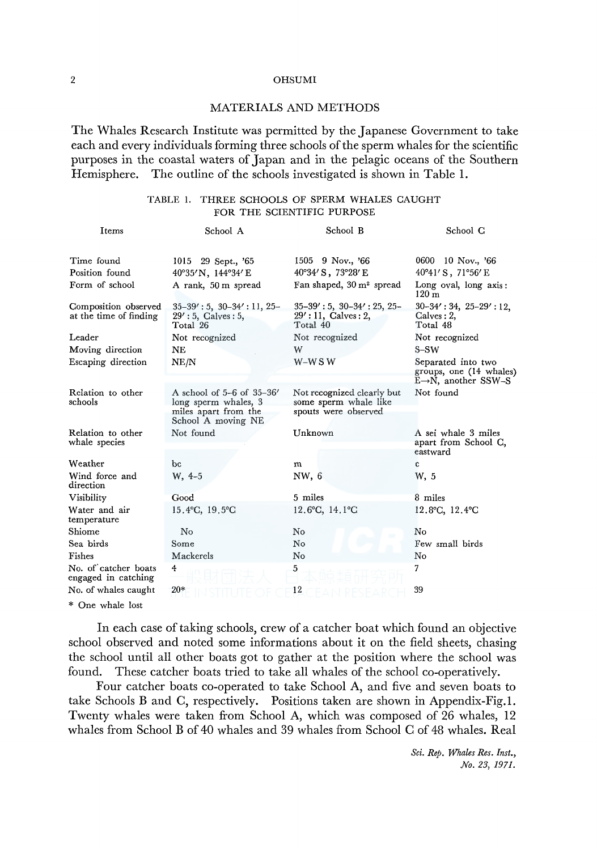# MATERIALS AND METHODS

The Whales Research Institute was permitted by the Japanese Government to take each and every individuals forming three schools of the sperm whales for the scientific purposes in the coastal waters of Japan and in the pelagic oceans of the Southern<br>Hemisphere. The outline of the schools investigated is shown in Table 1. The outline of the schools investigated is shown in Table 1.

# TABLE 1. THREE SCHOOLS OF SPERM WHALES CAUGHT FOR THE SCIENTIFIC PURPOSE

| Items                                          | School A                                                                                        | School B                                                                    | School C                                                                           |
|------------------------------------------------|-------------------------------------------------------------------------------------------------|-----------------------------------------------------------------------------|------------------------------------------------------------------------------------|
| Time found                                     | 1015 29 Sept., '65                                                                              | 1505 9 Nov., '66                                                            | 0600 10 Nov., '66                                                                  |
| Position found                                 | 40°35'N, 144°34'E                                                                               | 40°34' S, 73°28' E                                                          | $40^{\circ}41'$ S, $71^{\circ}56'$ E                                               |
| Form of school                                 | A rank, 50 m spread                                                                             | Fan shaped, 30 m <sup>2</sup> spread                                        | Long oval, long axis:<br>$120 \text{ m}$                                           |
| Composition observed<br>at the time of finding | $35-39' : 5, 30-34' : 11, 25-$<br>29': 5, Calves: 5,<br>Total 26                                | $35-39' : 5, 30-34' : 25, 25-$<br>$29': 11,$ Calves : 2,<br>Total 40        | $30-34'$ : 34, $25-29'$ : 12,<br>$Calves: 2$ ,<br>Total 48                         |
| Leader                                         | Not recognized                                                                                  | Not recognized                                                              | Not recognized                                                                     |
| Moving direction                               | NE                                                                                              | W                                                                           | S-SW                                                                               |
| Escaping direction                             | NE/N                                                                                            | $W-W$ S W                                                                   | Separated into two<br>groups, one (14 whales)<br>$E \rightarrow N$ , another SSW-S |
| Relation to other<br>schools                   | A school of 5-6 of 35-36'<br>long sperm whales, 3<br>miles apart from the<br>School A moving NE | Not recognized clearly but<br>some sperm whale like<br>spouts were observed | Not found                                                                          |
| Relation to other<br>whale species             | Not found                                                                                       | Unknown                                                                     | A sei whale 3 miles<br>apart from School C,<br>eastward                            |
| Weather                                        | bc                                                                                              | m                                                                           | с                                                                                  |
| Wind force and<br>direction                    | $W, 4-5$                                                                                        | NW, 6                                                                       | W, 5                                                                               |
| Visibility                                     | Good                                                                                            | 5 miles                                                                     | 8 miles                                                                            |
| Water and air<br>temperature                   | 15.4°C, 19.5°C                                                                                  | 12.6°C, 14.1°C                                                              | $12.8$ °C, $12.4$ °C                                                               |
| $_{\rm Shiome}$                                | No                                                                                              | No                                                                          | No                                                                                 |
| Sea birds                                      | Some                                                                                            | No                                                                          | Few small birds                                                                    |
| Fishes                                         | Mackerels                                                                                       | No                                                                          | No                                                                                 |
| No. of catcher boats<br>engaged in catching    | $\overline{4}$                                                                                  | 5                                                                           | 7                                                                                  |
| No. of whales caught                           | $20*$                                                                                           | 12                                                                          | 39                                                                                 |
| * One whale lost                               |                                                                                                 |                                                                             |                                                                                    |

In each case of taking schools, crew of a catcher boat which found an objective school observed and noted some informations about it on the field sheets, chasing the school until all other boats got to gather at the position where the school was found. These catcher boats tried to take all whales of the school co-operatively.

Four catcher boats co-operated to take School A, and five and seven boats to take Schools B and C, respectively. Positions taken are shown in Appendix-Fig.I. Twenty whales were taken from School A, which was composed of 26 whales, 12 whales from School B of 40 whales and 39 whales from School C of 48 whales. Real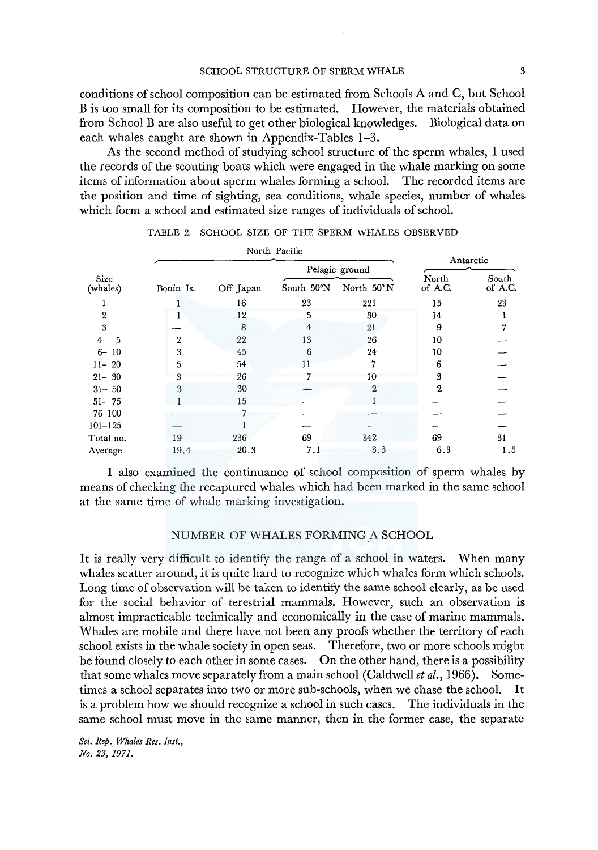conditions of school composition can be estimated from Schools A and C, but School Bis too small for its composition to be estimated. However, the materials obtained from School B are also useful to get other biological knowledges. Biological data on each whales caught are shown in Appendix-Tables 1-3.

As the second method of studying school structure of the sperm whales, I used the records of the scouting boats which were engaged in the whale marking on some items of information about sperm whales forming a school. The recorded items are the position and time of sighting, sea conditions, whale species, number of whales which form a school and estimated size ranges of individuals of school.

|                  |           | North Pacific |            | Antarctic      |                  |                  |  |
|------------------|-----------|---------------|------------|----------------|------------------|------------------|--|
|                  |           |               |            | Pelagic ground |                  |                  |  |
| Size<br>(whales) | Bonin Is. | Off Japan     | South 50°N | North 50°N     | North<br>of A.C. | South<br>of A.C. |  |
|                  |           | 16            | 23         | 221            | 15               | 23               |  |
| 2                |           | 12            | 5          | 30             | 14               |                  |  |
| 3                |           | 8             | 4          | 21             | 9                |                  |  |
| $4-$<br>- 5      | 2         | 22            | 13         | 26             | 10               |                  |  |
| $6 - 10$         | 3         | 45            | 6          | 24             | 10               |                  |  |
| $11 - 20$        | 5         | 54            | 11         |                | 6                |                  |  |
| $21 - 30$        | 3         | 26            |            | 10             | 3                |                  |  |
| $31 - 50$        | 3         | 30            |            | $\overline{2}$ | 2                |                  |  |
| $51 - 75$        |           | 15            |            |                |                  |                  |  |
| $76 - 100$       |           |               |            |                |                  |                  |  |
| $101 - 125$      |           |               |            |                |                  |                  |  |
| Total no.        | 19        | 236           | 69         | 342            | 69               | 31               |  |
| Average          | 19.4      | 20.3          | 7.1        | 3.3            | 6.3              | 1.5              |  |

TABLE 2. SCHOOL SIZE OF THE SPERM WHALES OBSERVED

I also examined the continuance of school composition of sperm whales by means of checking the recaptured whales which had been marked in the same school at the same time of whale marking investigation.

# NUMBER OF WHALES FORMING A SCHOOL

It is really very difficult to identify the range of a school in waters. When many whales scatter around, it is quite hard to recognize which whales form which schools. Long time of observation will be taken to identify the same school clearly, as be used for the social behavior of terestrial mammals. However, such an observation is almost impracticable technically and economically in the case of marine mammals. Whales are mobile and there have not been any proofs whether the territory of each school exists in the whale society in open seas. Therefore, two or more schools might be found closely to each other in some cases. On the other hand, there is a possibility that some whales move separately from a main school (Caldwell *et al.,* 1966). Sometimes a school separates into two or more sub-schools, when we chase the school. It is a problem how we should recognize a school in such cases. The individuals in the same school must move in the same manner, then in the former case, the separate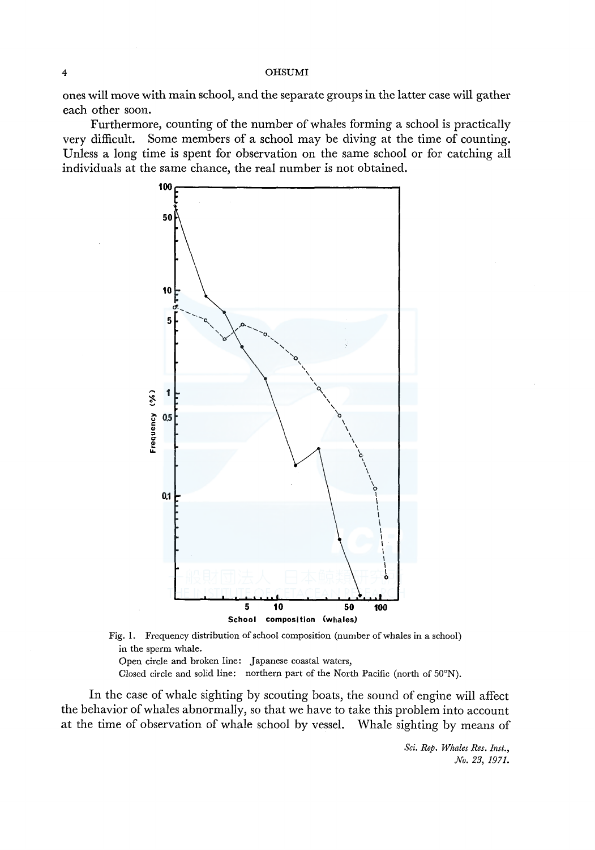ones will move with main school, and the separate groups in the latter case will gather each other soon.

Furthermore, counting of the number of whales forming a school is practically very difficult. Some members of a school may be diving at the time of counting. Unless a long time is spent for observation on the same school or for catching all individuals at the same chance, the real number is not obtained.





Open circle and broken line: Japanese coastal waters,

Closed circle and solid line: northern part of the North Pacific (north of 50°N).

In the case of whale sighting by scouting boats, the sound of engine will affect the behavior of whales abnormally, so that we have to take this problem into account at the time of observation of whale school by vessel. Whale sighting by means of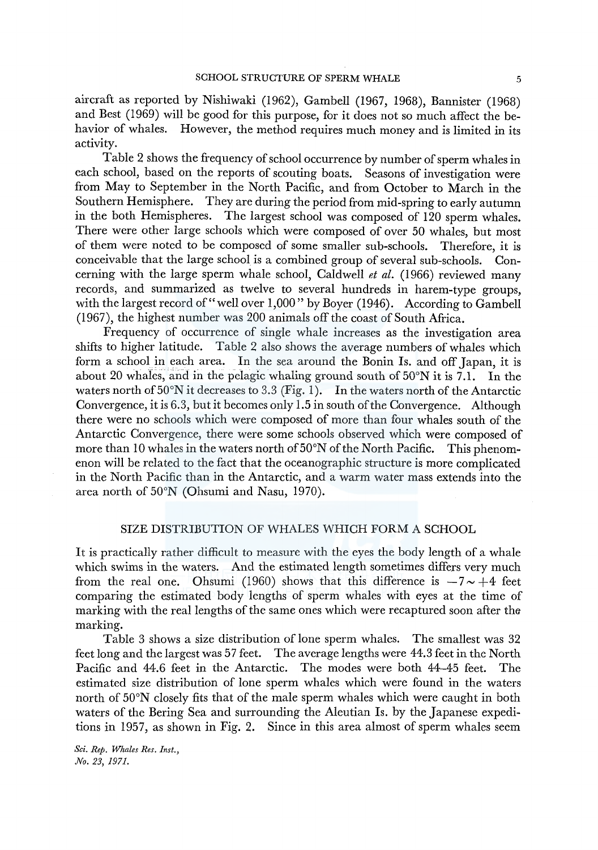aircraft as reported by Nishiwaki (1962), Gambell (1967, 1968), Bannister (1968) and Best (1969) will be good for this purpose, for it does not so much affect the behavior of whales. However, the method requires much money and is limited in its activity.

Table 2 shows the frequency of school occurrence by number of sperm whales in each school, based on the reports of scouting boats. Seasons of investigation were from May to September in the North Pacific, and from October to March in the Southern Hemisphere. They are during the period from mid-spring to early autumn in the both Hemispheres. The largest school was composed of 120 sperm whales. There were other large schools which were composed of over 50 whales, but most of them were noted to be composed of some smaller sub-schools. Therefore, it is conceivable that the large school is a combined group of several sub-schools. Concerning with the large sperm whale school, Caldwell *et al.* (1966) reviewed many records, and summarized as twelve to several hundreds in harem-type groups, with the largest record of "well over 1,000" by Boyer (1946). According to Gambell (1967), the highest number was 200 animals off the coast of South Africa.

Frequency of occurrence of single whale increases as the investigation area shifts to higher latitude. Table 2 also shows the average numbers of whales which form a school in each area. In the sea around the Bonin Is. and off Japan, it is about 20 whales, and in the pelagic whaling ground south of 50°N it is 7 .1. In the waters north of  $50^{\circ}$ N it decreases to 3.3 (Fig. 1). In the waters north of the Antarctic Convergence, it is 6.3, but it becomes only 1.5 in south of the Convergence. Although there were no schools which were composed of more than four whales south of the Antarctic Convergence, there were some schools observed which were composed of more than 10 whales in the waters north of 50°N of the North Pacific. This phenomenon will be related to the fact that the oceanographic structure is more complicated in the North Pacific than in the Antarctic, and a warm water mass extends into the area north of 50°N (Ohsumi and Nasu, 1970).

# SIZE DISTRIBUTION OF WHALES WHICH FORM A SCHOOL

It is practically rather difficult to measure with the eyes the body length of a whale which swims in the waters. And the estimated length sometimes differs very much from the real one. Ohsumi (1960) shows that this difference is  $-7 \sim +4$  feet comparing the estimated body lengths of sperm whales with eyes at the time of marking with the real lengths of the same ones which were recaptured soon after the marking.

Table 3 shows a size distribution of lone sperm whales. The smallest was 32 feet long and the largest was 57 feet. The average lengths were 44.3 feet in the North Pacific and 44.6 feet in the Antarctic. The modes were both 44-45 feet. The estimated size distribution of lone sperm whales which were found in the waters north of 50°N closely fits that of the male sperm whales which were caught in both waters of the Bering Sea and surrounding the Aleutian Is. by the Japanese expeditions in 1957, as shown in Fig. 2. Since in this area almost of sperm whales seem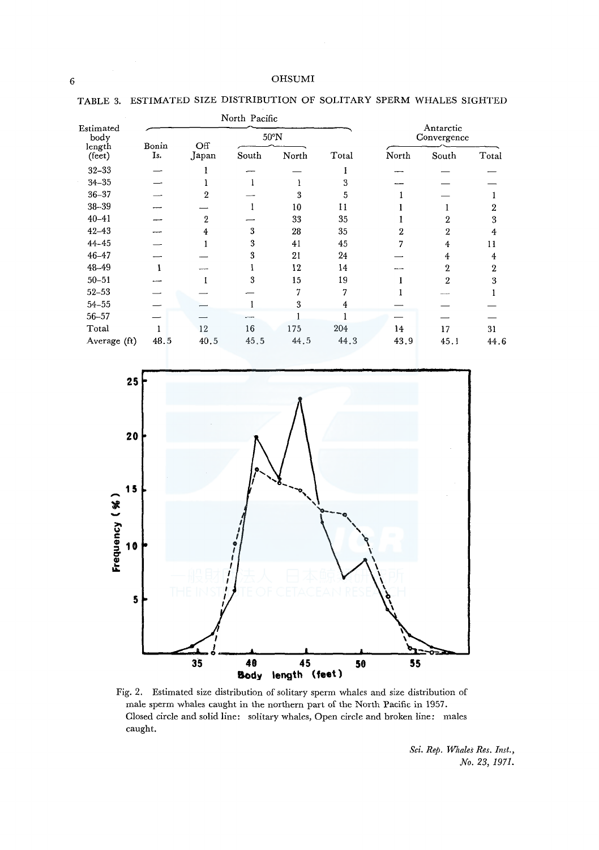|                                    |       | North Pacific |       |       |       |                          |                |              |  |  |
|------------------------------------|-------|---------------|-------|-------|-------|--------------------------|----------------|--------------|--|--|
| Estimated<br>body                  | Bonin | Off           | 50°N  |       |       | Antarctic<br>Convergence |                |              |  |  |
| $\mbox{length}$<br>$(\text{fect})$ | Is.   | Japan         | South | North | Total | North                    | South          | Total        |  |  |
| $32 - 33$                          |       |               |       |       |       |                          |                |              |  |  |
| $34 - 35$                          |       |               |       |       | 3     |                          |                |              |  |  |
| $36 - 37$                          |       | 2             |       | 3     | 5     |                          |                |              |  |  |
| $38 - 39$                          |       |               |       | 10    | Ħ     |                          |                | 2            |  |  |
| $40 - 41$                          |       | 2             |       | 33    | 35    |                          | 2              | 3            |  |  |
| $42 - 43$                          |       |               | 3     | 28    | 35    | 2                        | 2              | 4            |  |  |
| $44 - 45$                          |       |               | 3     | 41    | 45    |                          | 4              | 11           |  |  |
| $46 - 47$                          |       |               | 3     | 21    | 24    |                          | 4              | 4            |  |  |
| 48-49                              |       |               |       | 12    | 14    |                          | 2              | $\mathbf{2}$ |  |  |
| $50 - 51$                          |       |               | 3     | 15    | 19    |                          | $\overline{2}$ | 3            |  |  |
| $52 - 53$                          |       |               |       |       | 7     |                          |                |              |  |  |
| $54 - 55$                          |       |               |       | 3     | 4     |                          |                |              |  |  |
| $56 - 57$                          |       |               |       |       |       |                          |                |              |  |  |
| Total                              |       | 12            | 16    | 175   | 204   | 14                       | 17             | 31           |  |  |
| Average (ft)                       | 48.5  | 40.5          | 45.5  | 44.5  | 44.3  | 43.9                     | 45.1           | 44.6         |  |  |

TABLE 3. ESTIMATED SIZE DISTRIBUTION OF SOLITARY SPERM WHALES SIGHTED



Fig. 2. Estimated size distribution of solitary sperm whales and size distribution of male sperm whales caught in the northern part of the North Pacific in 1957. Closed circle and solid line: solitary whales, Open circle and broken line: males caught.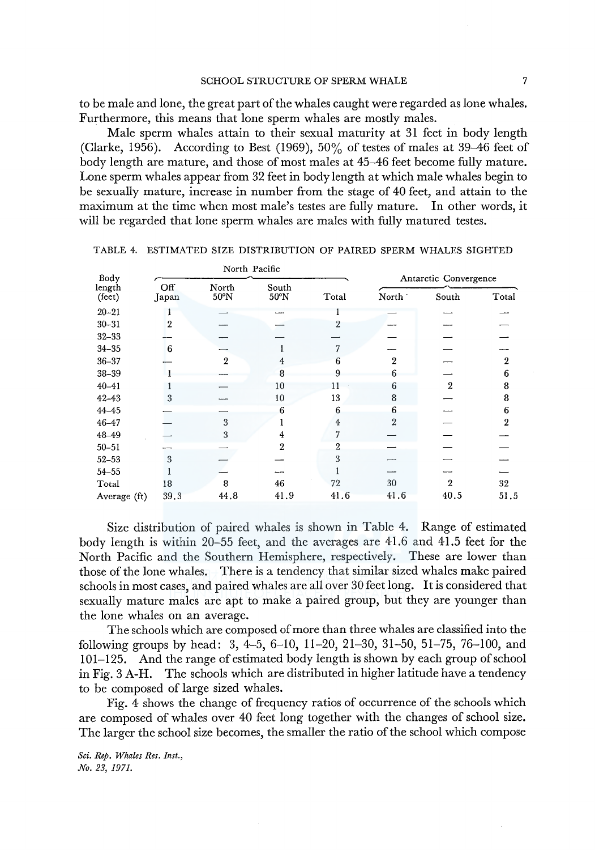to be male and lone, the great part of the whales caught were regarded as lone whales. Furthermore, this means that lone sperm whales are mostly males.

Male sperm whales attain to their sexual maturity at 31 feet in body length (Clarke, 1956). According to Best (1969), 50% of testes of males at 39-46 feet of body length are mature, and those of most males at 45-46 feet become fully mature. Lone sperm whales appear from 32 feet in body length at which male whales begin to be sexually mature, increase in number from the stage of 40 feet, and attain to the maximum at the time when most male's testes are fully mature. In other words, it will be regarded that lone sperm whales are males with fully matured testes.

| Body             |              | North Pacific  |                         |                | Antarctic Convergence |       |                |  |  |  |
|------------------|--------------|----------------|-------------------------|----------------|-----------------------|-------|----------------|--|--|--|
| length<br>(feet) | Off<br>Japan | North<br>50°N  | South<br>$50^{\circ}$ N | Total          | North '               | South | Total          |  |  |  |
| $20 - 21$        |              |                |                         |                |                       |       |                |  |  |  |
| $30 - 31$        | 2            |                |                         | 2              |                       |       |                |  |  |  |
| $32 - 33$        |              |                |                         |                |                       |       |                |  |  |  |
| $34 - 35$        | 6            |                |                         |                |                       |       |                |  |  |  |
| $36 - 37$        |              | $\overline{2}$ | 4                       | 6              | $\mathbf{2}$          |       | $\mathbf{2}$   |  |  |  |
| $38 - 39$        |              |                | я                       | 9              | 6                     |       | 6              |  |  |  |
| $40 - 41$        |              |                | 10                      | 11             | 6                     | 2     | 8              |  |  |  |
| $42 - 43$        | 3            |                | 10                      | 13             | 8                     |       | 8              |  |  |  |
| $44 - 45$        |              |                | 6                       | 6              | 6                     |       | 6              |  |  |  |
| $46 - 47$        |              | 3              |                         | 4              | $\overline{2}$        |       | $\overline{2}$ |  |  |  |
| 48-49            |              | 3              | 4                       | 7              |                       |       |                |  |  |  |
| $50 - 51$        |              |                | 2                       | $\overline{2}$ |                       |       |                |  |  |  |
| $52 - 53$        | 3            |                |                         | 3              |                       |       |                |  |  |  |
| $54 - 55$        |              |                |                         |                |                       |       |                |  |  |  |
| Total            | 18           | 8              | 46                      | 72             | 30                    | 2     | 32             |  |  |  |
| Average (ft)     | 39.3         | 44.8           | 41.9                    | 41.6           | 41.6                  | 40.5  | 51.5           |  |  |  |

TABLE 4. ESTIMATED SIZE DISTRIBUTION OF PAIRED SPERM WHALES SIGHTED

Size distribution of paired whales is shown in Table 4. Range of estimated body length is within 20-55 feet, and the averages are 41.6 and 41.5 feet for the North Pacific and the Southern Hemisphere, respectively. These are lower than those of the lone whales. There is a tendency that similar sized whales make paired schools in most cases, and paired whales are all over 30 feet long. It is considered that sexually mature males are apt to make a paired group, but they are younger than the lone whales on an average.

The schools which are composed of more than three whales are classified into the following groups by head: 3, 4-5, 6-10, 11-20, 21-30, 31-50, 51-75, 76-100, and 101-125. And the range of estimated body length is shown by each group of school in Fig. 3 A-H. The schools which are distributed in higher latitude have a tendency to be composed of large sized whales.

Fig. 4 shows the change of frequency ratios of occurrence of the schools which are composed of whales over 40 feet long together with the changes of school size. The larger the school size becomes, the smaller the ratio of the school which compose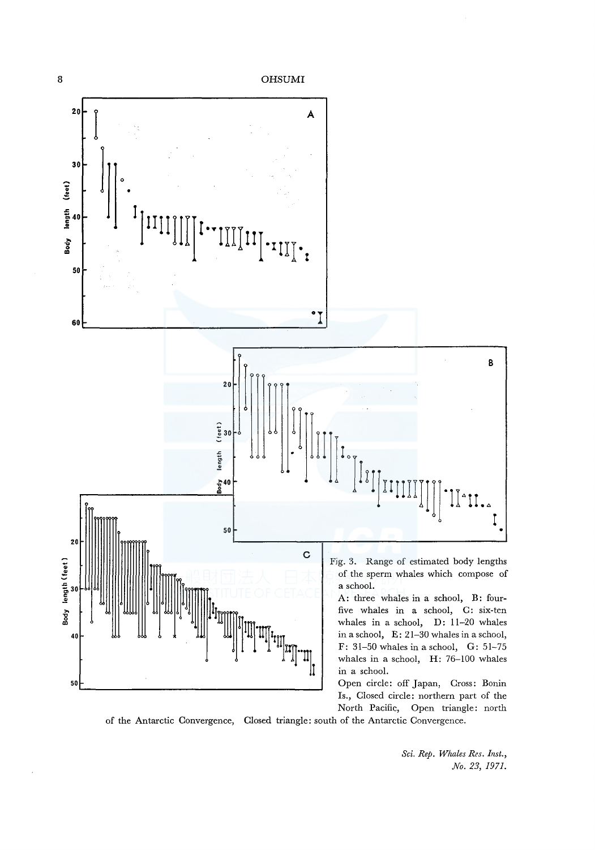

of the Antarctic Convergence, Closed triangle: south of the Antarctic Convergence.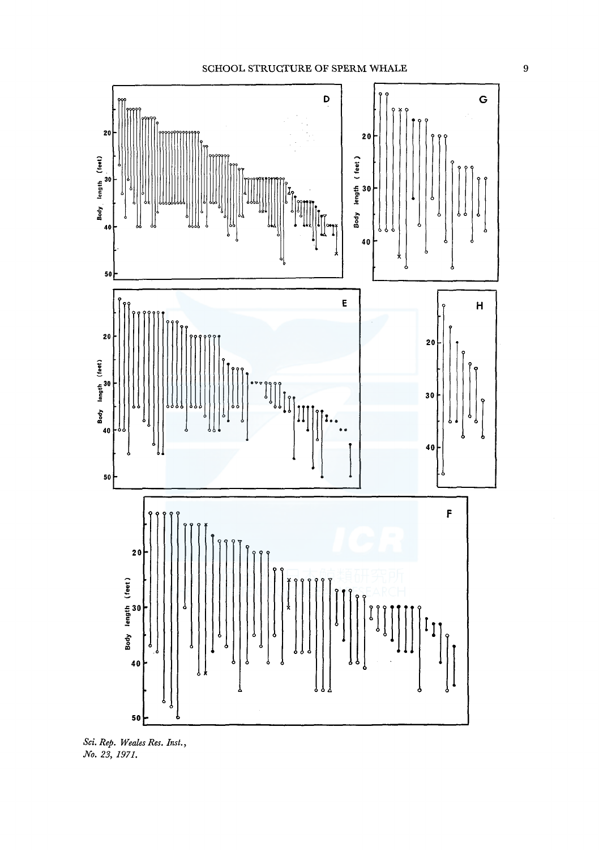

*Sci. Rep. Weales Res. Inst., No. 23, 1971.*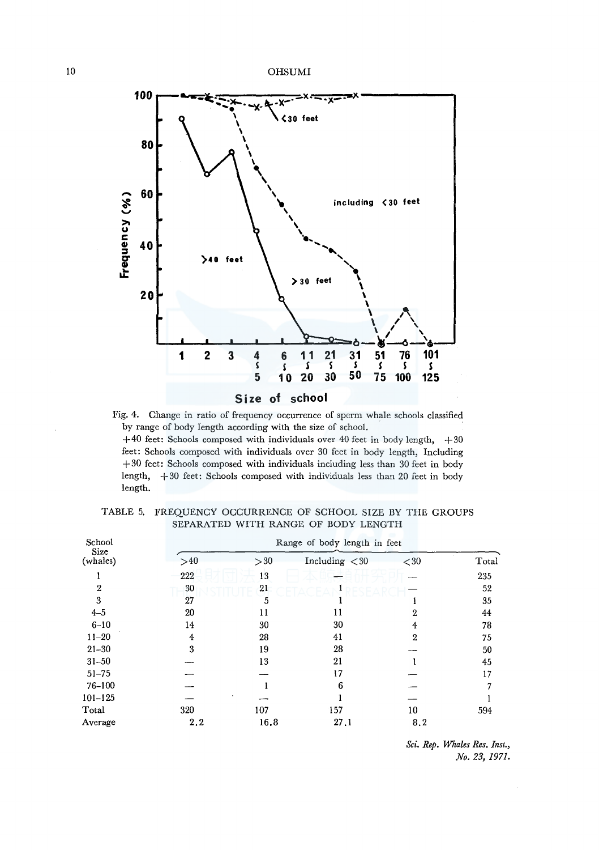

Fig. 4. Change in ratio of frequency occurrence of sperm whale schools classified by range of body length according with the size of school.

 $+40$  feet: Schools composed with individuals over 40 feet in body length,  $+30$ feet: Schools composed with individuals over 30 feet in body length, Including +30 feet: Schools composed with individuals including less than 30 feet in body length, +30 feet: Schools composed with individuals less than 20 feet in body length.

| School           |     | Range of body length in feet |                  |      |       |  |  |  |  |  |  |  |
|------------------|-----|------------------------------|------------------|------|-------|--|--|--|--|--|--|--|
| Size<br>(whales) | >40 | >30                          | Including $<$ 30 | < 30 | Total |  |  |  |  |  |  |  |
|                  | 222 | 13                           |                  |      | 235   |  |  |  |  |  |  |  |
| 2                | 30  | 21                           |                  |      | 52    |  |  |  |  |  |  |  |
| 3                | 27  | 5                            |                  |      | 35    |  |  |  |  |  |  |  |
| $4 - 5$          | 20  | 11                           | 11               | 2    | 44    |  |  |  |  |  |  |  |
| $6 - 10$         | 14  | 30                           | 30               | 4    | 78    |  |  |  |  |  |  |  |
| $11 - 20$        | 4   | 28                           | 41               | 2    | 75    |  |  |  |  |  |  |  |
| $21 - 30$        | 3   | 19                           | 28               |      | 50    |  |  |  |  |  |  |  |
| $31 - 50$        |     | 13                           | 21               |      | 45    |  |  |  |  |  |  |  |
| $51 - 75$        |     |                              | 17               |      | 17    |  |  |  |  |  |  |  |
| 76-100           |     |                              | 6                |      |       |  |  |  |  |  |  |  |
| $101 - 125$      |     |                              |                  |      |       |  |  |  |  |  |  |  |
| Total            | 320 | 107                          | 157              | 10   | 594   |  |  |  |  |  |  |  |
| Average          | 2.2 | 16.8                         | 27.1             | 8.2  |       |  |  |  |  |  |  |  |

| TABLE 5. FREQUENCY OCCURRENCE OF SCHOOL SIZE BY THE GROUPS |
|------------------------------------------------------------|
| SEPARATED WITH RANGE OF BODY LENGTH                        |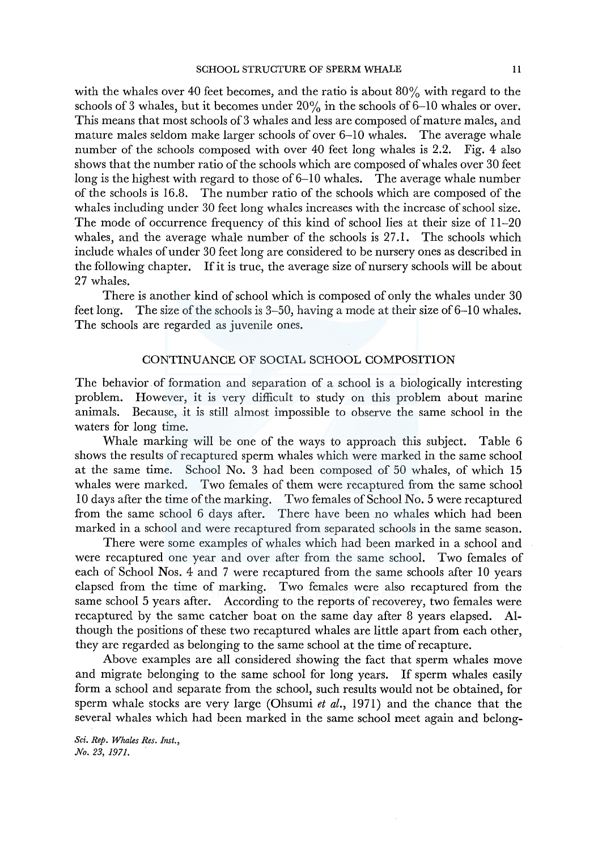with the whales over 40 feet becomes, and the ratio is about  $80\%$  with regard to the schools of 3 whales, but it becomes under  $20\%$  in the schools of 6-10 whales or over. This means that most schools of 3 whales and less are composed of mature males, and mature males seldom make larger schools of over 6-10 whales. The average whale number of the schools composed with over 40 feet long whales is 2.2. Fig. 4 also shows that the number ratio of the schools which are composed of whales over 30 feet long is the highest with regard to those of  $6-10$  whales. The average whale number of the schools is 16.8. The number ratio of the schools which are composed of the whales including under 30 feet long whales increases with the increase of school size. The mode of occurrence frequency of this kind of school lies at their size of 11-20 whales, and the average whale number of the schools is 27.1. The schools which include whales of under 30 feet long are considered to be nursery ones as described in the following chapter. If it is true, the average size of nursery schools will be about 27 whales.

There is another kind of school which is composed of only the whales under 30 feet long. The size of the schools is  $3-50$ , having a mode at their size of  $6-10$  whales. The schools are regarded as juvenile ones.

# CONTINUANCE OF SOCIAL SCHOOL COMPOSITION

The behavior of formation and separation of a school is a biologically interesting problem. However, it is very difficult to study on this problem about marine animals. Because, it is still almost impossible to observe the same school in the waters for long time.

Whale marking will be one of the ways to approach this subject. Table 6 shows the results of recaptured sperm whales which were marked in the same school at the same time. School No. 3 had been composed of 50 whales, of which 15 whales were marked. Two females of them were recaptured from the same school 10 days after the time of the marking. Two females of School No. 5 were recaptured from the same school 6 days after. There have been no whales which had been marked in a school and were recaptured from separated schools in the same season.

There were some examples of whales which had been marked in a school and were recaptured one year and over after from the same school. Two females of each of School Nos. 4 and 7 were recaptured from the same schools after 10 years elapsed from the time of marking. Two females were also recaptured from the same school 5 years after. According to the reports of recoverey, two females were recaptured by the same catcher boat on the same day after 8 years elapsed. Although the positions of these two recaptured whales are little apart from each other, they are regarded as belonging to the same school at the time of recapture.

Above examples are all considered showing the fact that sperm whales move and migrate belonging to the same school for long years. If sperm whales easily form a school and separate from the school, such results would not be obtained, for sperm whale stocks are very large (Ohsumi *et al.,* 1971) and the chance that the several whales which had been marked in the same school meet again and belong-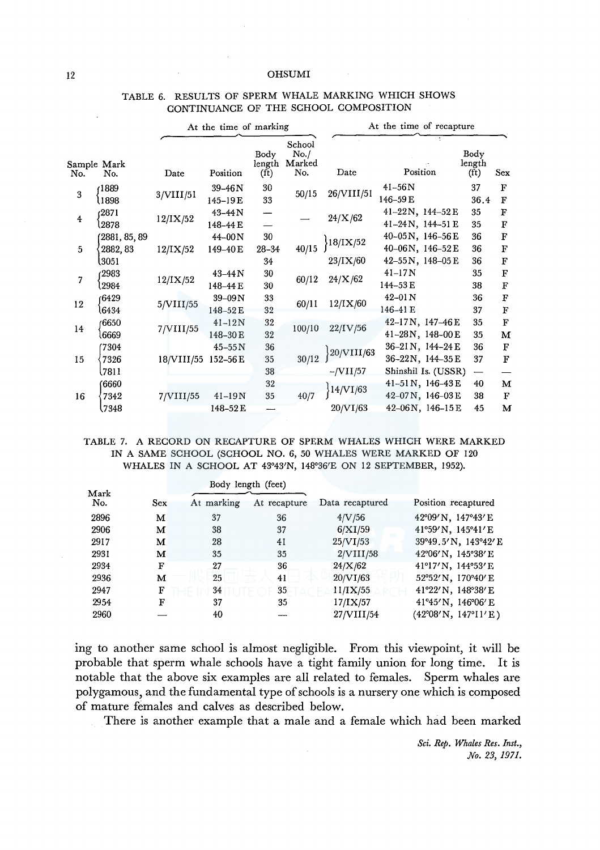|     |                          |            | At the time of marking    |                                     |                                  | At the time of recapture |                                               |                                     |                                     |  |  |  |
|-----|--------------------------|------------|---------------------------|-------------------------------------|----------------------------------|--------------------------|-----------------------------------------------|-------------------------------------|-------------------------------------|--|--|--|
| No. | Sample Mark<br>No.       | Date       | Position                  | Body<br>length<br>(f <sub>t</sub> ) | School<br>No. /<br>Marked<br>No. | Date                     | Position                                      | Body<br>length<br>(f <sub>t</sub> ) | Sex                                 |  |  |  |
| 3   | 1889<br>1898             | 3/VIII/51  | $39 - 46N$<br>$145 - 19E$ | 30<br>33                            | 50/15                            | 26/VIII/51               | $41 - 56N$<br>146-59E                         | 37<br>36.4                          | $\mathbf F$<br>$\mathbf F$          |  |  |  |
| 4   | 2871)<br>2878            | 12/IX/52   | 43-44N<br>148-44 E        |                                     |                                  | 24/X/62                  | 41-22N, 144-52E<br>$41 - 24N$ , $144 - 51E$   | 35<br>35                            | F<br>F                              |  |  |  |
| 5   | 2881, 85, 89<br>2882, 83 | 12/IX/52   | $44 - 00N$<br>149-40E     | 30<br>$28 - 34$                     | 40/15                            | 18/IX/52                 | $40-05N$ , $146-56E$<br>40-06N, 146-52E       | 36<br>36                            | F<br>F                              |  |  |  |
|     | l3051                    |            |                           | 34                                  |                                  | 23/IX/60                 | 42-55N, 148-05E                               | 36                                  | $\mathbf F$                         |  |  |  |
| 7   | 2983<br>2984             | 12/IX/52   | $43 - 44N$<br>148-44 E    | 30<br>30                            | 60/12                            | 24/X/62                  | $41 - 17N$<br>144-53 E                        | 35<br>38                            | $\overline{\mathbf{F}}$<br>$\bf{F}$ |  |  |  |
| 12  | 6429<br>6434             | 5/VIII/55  | $39-09N$<br>148-52E       | 33<br>32                            | 60/11                            | 12/IX/60                 | $42 - 01N$<br>146-41 E                        | 36<br>37                            | $\mathbf F$<br>$\bf F$              |  |  |  |
| 14  | 6650<br>l6669            | 7/VIII/55  | $41 - 12N$<br>148-30E     | 32<br>32                            | 100/10                           | 22/IV/56                 | $42-17N$ , $147-46E$<br>41-28N, 148-00E       | 35<br>35                            | $\mathbf F$<br>M                    |  |  |  |
| 15  | 7304<br>7326             | 18/VIII/55 | $45 - 55N$<br>$152 - 56E$ | 36<br>35                            | 30/12                            | 20/VIII/63               | 36-21 N, 144-24 E<br>$36 - 22N$ , $144 - 35E$ | 36<br>37                            | ${\bf F}$<br>$\rm F$                |  |  |  |
|     | \7811<br>'6660           |            |                           | 38<br>32                            |                                  | $-VIII/57$               | Shinshil Is. (USSR)<br>41-51N, 146-43E        | $\overline{\phantom{0}}$<br>40      | M                                   |  |  |  |
| 16  | 7342                     | 7/VIII/55  | $41 - 19N$                | 35                                  | 40/7                             | 14/VI/63                 | 42-07N, 146-03E                               | 38                                  | $\mathbf{F}$                        |  |  |  |
|     | 7348                     |            | 148-52E                   |                                     |                                  | 20/VI/63                 | $42 - 06N$ , $146 - 15E$                      | 45                                  | M                                   |  |  |  |

# TABLE 6. RESULTS OF SPERM WHALE MARKING WHICH SHOWS CONTINUANCE OF THE SCHOOL COMPOSITION

TABLE 7. A RECORD ON RECAPTURE OF SPERM WHALES WHICH WERE MARKED IN A SAME SCHOOL (SCHOOL NO. 6, 50 WHALES WERE MARKED OF 120 WHALES IN A SCHOOL AT 43°43'N, 148°36'E ON 12 SEPTEMBER, 1952).

|             |     |            | Body length (feet) |                 |                                       |
|-------------|-----|------------|--------------------|-----------------|---------------------------------------|
| Mark<br>No. | Sex | At marking | At recapture       | Data recaptured | Position recaptured                   |
| 2896        | м   | 37         | 36                 | 4/V/56          | 42°09' N, 147°43' E                   |
| 2906        | м   | 38         | 37                 | 6/XI/59         | 41°59' N, 145°41' E                   |
| 2917        | м   | 28         | 41                 | 25/VI/53        | 39°49.5'N, 143°42'E                   |
| 2931        | м   | 35         | 35                 | 2/VIII/58       | $42^{\circ}06'$ N, $145^{\circ}38'$ E |
| 2934        | F   | 27         | 36                 | 24/X/62         | 41°17'N, 144°53'E                     |
| 2936        | м   | 25         | 41                 | 20/VI/63        | 52°52' N, 170°40' E                   |
| 2947        | F   | 34         | 35                 | 11/IX/55        | 41°22' N, 148°38' E                   |
| 2954        | F   | 37         | 35                 | $17$ /IX/57     | $41^{\circ}45'$ N, $146^{\circ}06'$ E |
| 2960        |     | 40         |                    | 27/VIII/54      | (42°08'N, 147°11'E)                   |

ing to another same school is almost negligible. From this viewpoint, it will be probable that sperm whale schools have a tight family union for long time. It is notable that the above six examples are all related to females. Sperm whales are polygamous, and the fundamental type of schools is a nursery one which is composed of mature females and calves as described below.

There is another example that a male and a female which had been marked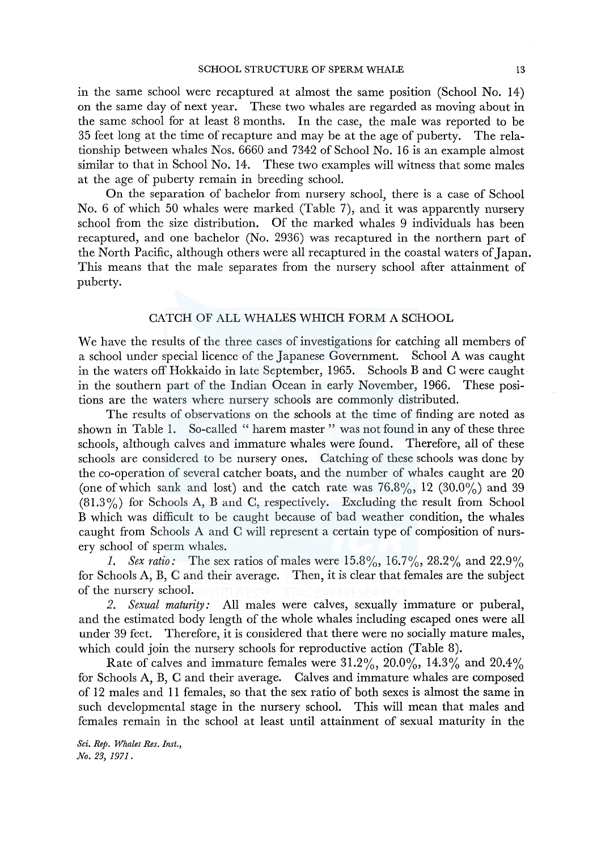in the same school were recaptured at almost the same position (School No. 14) on the same day of next year. These two whales are regarded as moving about in the same school for at least 8 months. In the case, the male was reported to be 35 feet long at the time of recapture and may be at the age of puberty. The relationship between whales Nos. 6660 and 7342 of School No. 16 is an example almost similar to that in School No. 14. These two examples will witness that some males at the age of puberty remain in breeding school.

On the separation of bachelor from nursery school, there is a case of School No. 6 of which 50 whales were marked (Table 7), and it was apparently nursery school from the size distribution. Of the marked whales 9 individuals has been recaptured, and one bachelor (No. 2936) was recaptured in the northern part of the North Pacific, although others were all recaptured in the coastal waters of Japan. This means that the male separates from the nursery school after attainment of puberty.

### CATCH OF ALL WHALES WHICH FORM A SCHOOL

We have the results of the three cases of investigations for catching all members of a school under special licence of the Japanese Government. School A was caught in the waters off Hokkaido in late September, 1965. Schools Band C were caught in the southern part of the Indian Ocean in early November, 1966. These positions are the waters where nursery schools are commonly distributed.

The results of observations on the schools at the time of finding are noted as shown in Table 1. So-called "harem master" was not found in any of these three schools, although calves and immature whales were found. Therefore, all of these schools are considered to be nursery ones. Catching of these schools was done by the co-operation of several catcher boats, and the number of whales caught are 20 (one of which sank and lost) and the catch rate was  $76.8\%$ , 12 (30.0%) and 39 (81.3%) for Schools A, B and C, respectively. Excluding the result from School B which was difficult to be caught because of bad weather condition, the whales caught from Schools A and C will represent a certain type of composition of nursery school of sperm whales.

*I. Sex ratio:* The sex ratios of males were 15.8%, 16.7%, 28.2% and 22.9% for Schools A, B, C and their average. Then, it is clear that females are the subject of the nursery school.

*2. Sexual maturity:* All males were calves, sexually immature or puberal, and the estimated body length of the whole whales including escaped ones were all under 39 feet. Therefore, it is considered that there were no socially mature males, which could join the nursery schools for reproductive action (Table 8).

Rate of calves and immature females were  $31.2\%, 20.0\%, 14.3\%$  and  $20.4\%$ for Schools A, B, C and their average. Calves and immature whales are composed of 12 males and 11 females, so that the sex ratio of both sexes is almost the same in such developmental stage in the nursery school. This will mean that males and females remain in the school at least until attainment of sexual maturity in the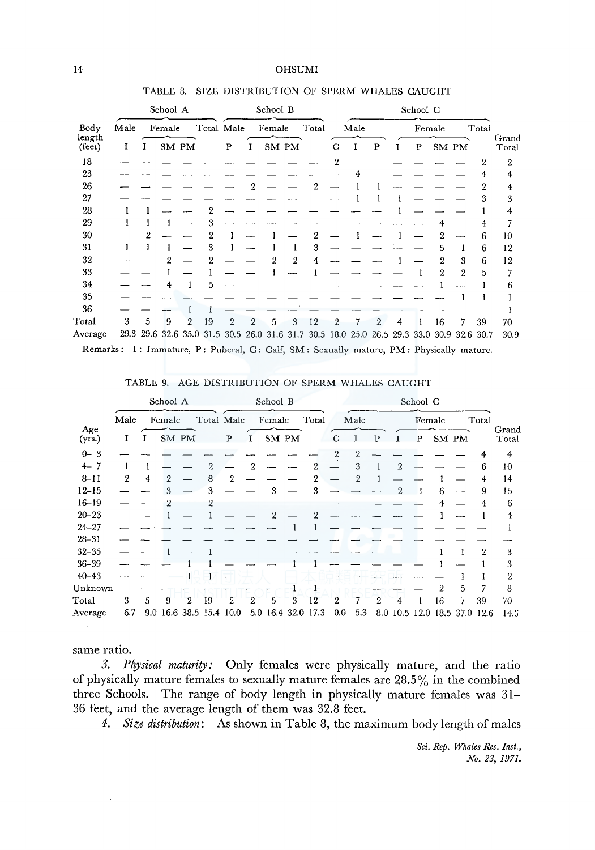|                           |      |   | TABLE 8. |                |                          |            |          |          |   | SIZE DISTRIBUTION OF SPERM WHALES CAUGHT     |          |      |   |    |        |       |                |       |                |
|---------------------------|------|---|----------|----------------|--------------------------|------------|----------|----------|---|----------------------------------------------|----------|------|---|----|--------|-------|----------------|-------|----------------|
|                           |      |   | School A |                |                          |            |          | School B |   |                                              | School C |      |   |    |        |       |                |       |                |
| Body                      | Male |   | Female   |                |                          | Total Male |          | Female   |   | Total                                        |          | Male |   |    | Female |       |                | Total |                |
| length<br>$(\text{fect})$ | 1    | x | SM PM    |                |                          | P          | $\bf{l}$ | SM PM    |   |                                              | C        |      | P | I. | P      | SM PM |                |       | Grand<br>Total |
| 18                        |      |   |          |                |                          |            |          |          |   |                                              | 2        |      |   |    |        |       |                | 2     | 2              |
| 23                        |      |   |          |                |                          |            |          |          |   |                                              |          |      |   |    |        |       |                |       | 4              |
| 26                        |      |   |          |                |                          |            | 2        |          |   | 2                                            |          |      |   |    |        |       |                | 2     | 4              |
| 27                        |      |   |          |                |                          |            |          |          |   |                                              |          |      |   |    |        |       |                | 3     | 3              |
| 28                        |      |   |          |                |                          |            |          |          |   |                                              |          |      |   |    |        |       |                |       | 4              |
| 29                        |      |   |          |                | 3                        |            |          |          |   |                                              |          |      |   |    |        |       |                | 4     | 7              |
| 30                        |      |   |          |                | 2                        |            |          |          |   |                                              |          |      |   |    |        |       |                | 6     | 10             |
| 31                        | 1    |   |          |                | 3                        |            |          |          |   | 3                                            |          |      |   |    |        | 5     |                | 6     | 12             |
| 32                        |      |   | 9        |                | 2                        |            |          | 2        | 2 | 4                                            |          |      |   |    |        | 2     | 3              | 6     | 12             |
| 33                        |      |   |          |                |                          |            |          |          |   |                                              |          |      |   |    |        | 2     | $\overline{2}$ | 5     | 7              |
| 34                        |      |   |          |                | 5                        |            |          |          |   |                                              |          |      |   |    |        |       |                |       | 6              |
| 35                        |      |   |          |                |                          |            |          |          |   |                                              |          |      |   |    |        |       |                |       |                |
| 36                        |      |   |          |                |                          |            |          |          |   |                                              |          |      |   |    |        |       |                |       |                |
| $\rm Total$               | 3    | 5 | 9        | $\overline{2}$ | 19                       | 2          | 2        | 5        | 3 | 12                                           | 2        |      |   | 4  |        | 16    | 7              | 39    | 70             |
| Average                   |      |   |          |                | 29.3 29.6 32.6 35.0 31.5 |            |          |          |   | 30.5 26.0 31.6 31.7 30.5 18.0 25.0 26.5 29.3 |          |      |   |    | 33.0   |       | 30.9 32.6      | 30.7  | 30.9           |

### TABLE 8. SIZE DISTRIBUTION OF SPERM WHALES CAUGHT

Remarks: I: Immature, P: Puberal, C: Calf, SM: Sexually mature, PM: Physically mature.

|               |                  |   | School A |                |                         |   |                | School B           |   |       |     |      |                |   | School G |                  |   |                              |                |
|---------------|------------------|---|----------|----------------|-------------------------|---|----------------|--------------------|---|-------|-----|------|----------------|---|----------|------------------|---|------------------------------|----------------|
|               | Male             |   | Female   |                | Total Male              |   |                | Female             |   | Total |     | Male |                |   | Female   |                  |   | Total                        |                |
| Age<br>(yrs.) | 1                |   | SM PM    |                |                         | P |                | SM PM              |   |       | G   |      | р              |   | P        | SM PM            |   |                              | Grand<br>Total |
| $0 - 3$       |                  |   |          |                |                         |   |                |                    |   |       | 2   | 2    |                |   |          |                  |   |                              | 4              |
| $4 - 7$       | 1                |   |          |                | 2                       |   | 2              |                    |   | 2     |     | 3    |                | 2 |          |                  |   | 6                            | 10             |
| $8 - 11$      | $\boldsymbol{2}$ | 4 | 2        |                | 8                       | 2 |                |                    |   | 2     |     | 2    |                |   |          |                  |   | 4                            | 14             |
| $12 - 15$     |                  |   | 3        |                | 3                       |   |                | 3                  |   | 3     |     |      |                | 9 |          | 6                |   | 9                            | 15             |
| $16 - 19$     |                  |   | 9        |                |                         |   |                |                    |   |       |     |      |                |   |          |                  |   | 4                            | 6              |
| $20 - 23$     |                  |   |          |                |                         |   |                | $\mathfrak{D}$     |   | 9     |     |      |                |   |          |                  |   |                              | 4              |
| $24 - 27$     |                  |   |          |                |                         |   |                |                    |   |       |     |      |                |   |          |                  |   |                              |                |
| $28 - 31$     |                  |   |          |                |                         |   |                |                    |   |       |     |      |                |   |          |                  |   |                              |                |
| $32 - 35$     |                  |   |          |                |                         |   |                |                    |   |       |     |      |                |   |          |                  |   | 2                            | 3              |
| $36 - 39$     |                  |   |          |                |                         |   |                |                    |   |       |     |      |                |   |          |                  |   |                              | 3              |
| $40 - 43$     |                  |   |          |                |                         |   |                |                    |   |       |     |      |                |   |          |                  |   |                              | $\overline{2}$ |
| Unknown       |                  |   |          |                |                         |   |                |                    |   |       |     |      |                |   |          | $\boldsymbol{2}$ | 5 |                              | 8              |
| Total         | 3                | 5 | 9        | $\overline{2}$ | 19                      | 2 | $\overline{2}$ | 5                  | 3 | 12    | 2   |      | $\overline{2}$ | 4 |          | 16               | 7 | 39                           | 70             |
| Average       | 6.7              |   |          |                | 9.0 16.6 38.5 15.4 10.0 |   |                | 5.0 16.4 32.0 17.3 |   |       | 0.0 | 5.3  |                |   |          |                  |   | 8.0 10.5 12.0 18.5 37.0 12.6 | 14.3           |

### same ratio.

*3. Physical maturity:* Only females were physically mature, and the ratio of physically mature females to sexually mature females are 28.5% in the combined three Schools. The range of body length in physically mature females was 31- 36 feet, and the average length of them was 32.8 feet.

*4. Size distribution:* As shown in Table 8, the maximum body length of males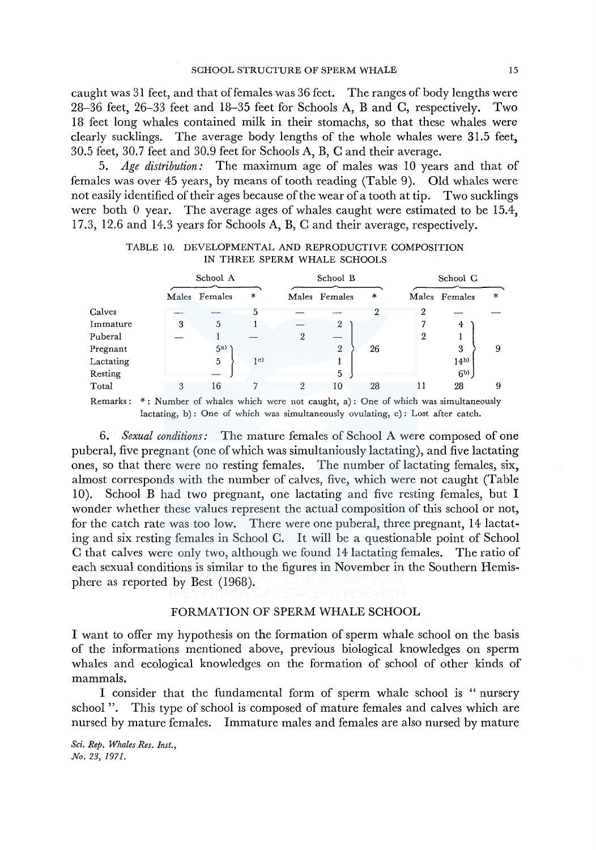caught was 31 feet, and that offemales was 36 feet. The ranges of body lengths were 28-36 feet, 26-33 feet and 18-35 feet for Schools A, B and C, respectively. Two 18 feet long whales contained milk in their stomachs, so that these whales were clearly sucklings. The average body lengths of the whole whales were 31.5 feet, 30.5 feet, 30. 7 feet and 30.9 feet for Schools A, B, C and their average.

5. *Age distribution:* The maximum age of males was 10 years and that of females was over 45 years, by means of tooth reading (Table 9). Old whales were not easily identified of their ages because of the wear of a tooth at tip. Two sucklings were both 0 year. The average ages of whales caught were estimated to be 15.4, 17.3, 12.6 and 14.3 years for Schools A, B, C and their average, respectively.

|           |       | School A |                |   | School B       |    |    | School G        |        |  |  |
|-----------|-------|----------|----------------|---|----------------|----|----|-----------------|--------|--|--|
|           | Males | Females  | $\ast$         |   | Males Females  | *  |    | Males Females   | $\ast$ |  |  |
| Calves    |       |          | 5              |   |                |    | 2  |                 |        |  |  |
| Immature  | 3     | 5        |                |   | $\overline{2}$ |    |    | 4               |        |  |  |
| Puberal   |       |          |                | 2 |                |    | 2  |                 |        |  |  |
| Pregnant  |       | 5a)      |                |   | $\mathbf{2}$   | 26 |    | 3               | 9      |  |  |
| Lactating |       | 5        | 1 <sup>c</sup> |   |                |    |    | 14 <sub>b</sub> |        |  |  |
| Resting   |       |          |                |   | 5              |    |    | 6 <sub>p</sub>  |        |  |  |
| Total     | 3     | 16       |                | 2 | 10             | 28 | 11 | 28              | 9      |  |  |

| TABLE 10. DEVELOPMENTAL AND REPRODUCTIVE COMPOSITION |  |
|------------------------------------------------------|--|
| IN THREE SPERM WHALE SCHOOLS                         |  |

Remarks: \* : Number of whales which were not caught, a): One of which was simultaneously lactating, b): One of which was simultaneously ovulating, c): Lost after catch.

6. *Sexual conditions:* The mature females of School A were composed of one puberal, five pregnant (one of which was simultaniously lactating), and five lactating ones, so that there were no resting females. The number of lactating females, six, almost corresponds with the number of calves, five, which were not caught (Table 10). School B had two pregnant, one lactating and five resting females, but I wonder whether these values represent the actual composition of this school or not, for the catch rate was too low. There were one puberal, three pregnant, 14 lactating and six resting females in School C. It will be a questionable point of School C that calves were only two, although we found 14 lactating females. The ratio of each sexual conditions is similar to the figures in November in the Southern Hemisphere as reported by Best (1968).

# FORMATION OF SPERM WHALE SCHOOL

I want to offer my hypothesis on the formation of sperm whale school on the basis of the informations mentioned above, previous biological knowledges on sperm whales and ecological knowledges on the formation of school of other kinds of mammals.

I consider that the fundamental form of sperm whale school is " nursery school ". This type of school is composed of mature females and calves which are nursed by mature females. Immature males and females are also nursed by mature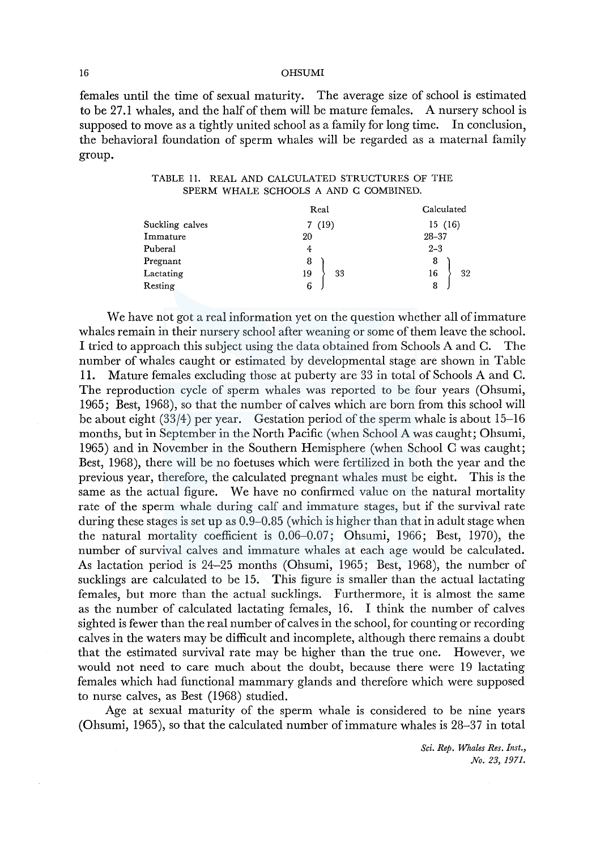females until the time of sexual maturity. The average size of school is estimated to be 27 .1 whales, and the half of them will be mature females. A nursery school is supposed to move as a tightly united school as a family for long time. In conclusion, the behavioral foundation of sperm whales will be regarded as a maternal family group.

|                 | Real     | Calculated |  |  |  |  |  |  |  |
|-----------------|----------|------------|--|--|--|--|--|--|--|
| Suckling calves | 7(19)    | 15(16)     |  |  |  |  |  |  |  |
| Immature        | 20       | $28 - 37$  |  |  |  |  |  |  |  |
| Puberal         | 4        | $2 - 3$    |  |  |  |  |  |  |  |
| Pregnant        | 8        | 8          |  |  |  |  |  |  |  |
| Lactating       | 33<br>19 | 16<br>32   |  |  |  |  |  |  |  |
| Resting         | 6        | 8          |  |  |  |  |  |  |  |

TABLE 11. REAL AND CALCULATED STRUCTURES OF THE SPERM WHALE SCHOOLS A AND C COMBINED.

We have not got a real information yet on the question whether all of immature whales remain in their nursery school after weaning or some of them leave the school. I tried to approach this subject using the data obtained from Schools A and C. The number of whales caught or estimated by developmental stage are shown in Table 11. Mature females excluding those at puberty are 33 in total of Schools A and C. The reproduction cycle of sperm whales was reported to be four years (Ohsumi, 1965; Best, 1968), so that the number of calves which are born from this school will be about eight (33/4) per year. Gestation period of the sperm whale is about 15-16 months, but in September in the North Pacific (when School A was caught; Ohsumi, 1965) and in November in the Southern Hemisphere (when School C was caught; Best, 1968), there will be no foetuses which were fertilized in both the year and the previous year, therefore, the calculated pregnant whales must be eight. This is the same as the actual figure. We have no confirmed value on the natural mortality rate of the sperm whale during calf and immature stages, but if the survival rate during these stages is set up as 0.9-0.85 (which is higher than that in adult stage when the natural mortality coefficient is 0.06-0.07; Ohsumi, 1966; Best, 1970), the number of survival calves and immature whales at each age would be calculated. As lactation period is 24-25 months (Ohsumi, 1965; Best, 1968), the number of sucklings are calculated to be 15. This figure is smaller than the actual lactating females, but more than the actual sucklings. Furthermore, it is almost the same as the number of calculated lactating females, 16. I think the number of calves sighted is fewer than the real number of calves in the school, for counting or recording calves in the waters may be difficult and incomplete, although there remains a doubt that the estimated survival rate may be higher than the true one. However, we would not need to care much about the doubt, because there were 19 lactating females which had functional mammary glands and therefore which were supposed to nurse calves, as Best (1968) studied.

Age at sexual maturity of the sperm whale is considered to be nine years (Ohsumi, 1965), so that the calculated number of immature whales is 28-37 in total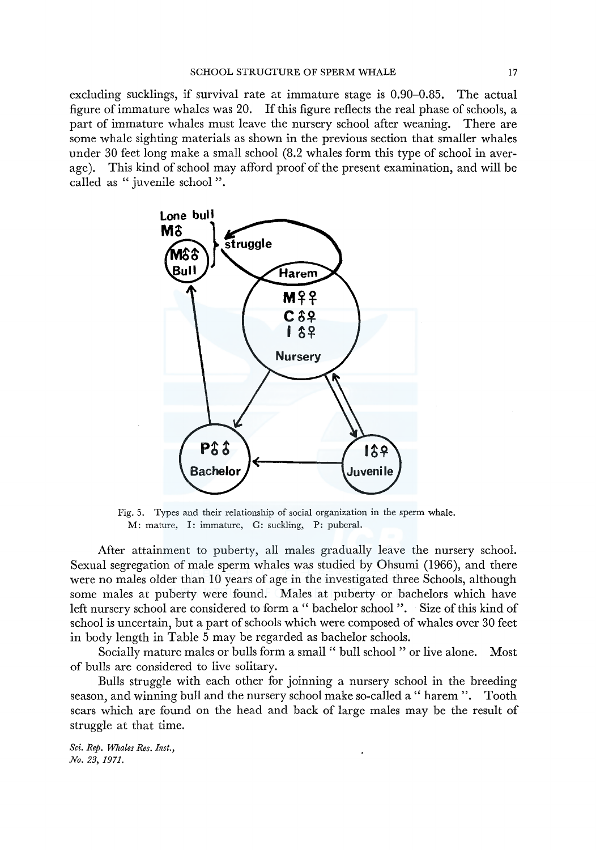excluding sucklings, if survival rate at immature stage is 0.90-0.85. The actual figure of immature whales was 20. If this figure reflects the real phase of schools, a part of immature whales must leave the nursery school after weaning. There are some whale sighting materials as shown in the previous section that smaller whales under 30 feet long make a small school (8.2 whales form this type of school in average). This kind of school may afford proof of the present examination, and will be called as " juvenile school ".



Fig. 5. Types and their relationship of social organization in the sperm whale. M: mature, I: immature, C: suckling, P: puberal.

After attainment to puberty, all males gradually leave the nursery school. Sexual segregation of male sperm whales was studied by Ohsumi (1966), and there were no males older than 10 years of age in the investigated three Schools, although some males at puberty were found. Males at puberty or bachelors which have left nursery school are considered to form a " bachelor school ". Size of this kind of school is uncertain, but a part of schools which were composed of whales over 30 feet in body length in Table 5 may be regarded as bachelor schools.

Socially mature males or bulls form a small " bull school " or live alone. Most of bulls are considered to live solitary.

Bulls struggle with each other for joinning a nursery school in the breeding season, and winning bull and the nursery school make so-called a " harem ". Tooth scars which are found on the head and back of large males may be the result of struggle at that time.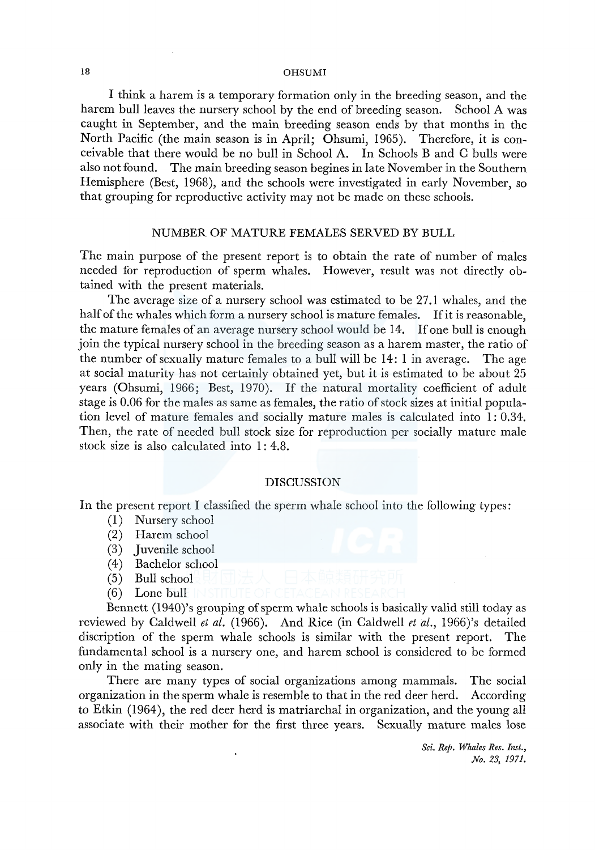I think a harem is a temporary formation only in the breeding season, and the harem bull leaves the nursery school by the end of breeding season. School A was caught in September, and the main breeding season ends by that months in the North Pacific (the main season is in April; Ohsumi, 1965). Therefore, it is conceivable that there would be no bull in School A. In Schools B and C bulls were also not found. The main breeding season begines in late November in the Southern Hemisphere (Best, 1968), and the schools were investigated in early November, so that grouping for reproductive activity may not be made on these schools.

### NUMBER OF MATURE FEMALES SERVED BY BULL

The main purpose of the present report is to obtain the rate of number of males needed for reproduction of sperm whales. However, result was not directly obtained with the present materials.

The average size of a nursery school was estimated to be 27.1 whales, and the half of the whales which form a nursery school is mature females. If it is reasonable, the mature females of an average nursery school would be 14. If one bull is enough join the typical nursery school in the breeding season as a harem master, the ratio of the number of sexually mature females to a bull will be 14: 1 in average. The age at social maturity has not certainly obtained yet, but it is estimated to be about 25 years (Ohsumi, 1966; Best, 1970). If the natural mortality coefficient of adult stage is 0.06 for the males as same as females, the ratio of stock sizes at initial population level of mature females and socially mature males is calculated into 1: 0.34. Then, the rate of needed bull stock size for reproduction per socially mature male stock size is also calculated into 1: 4.8.

# DISCUSSION

In the present report I classified the sperm whale school into the following types:

- (1) Nursery school
- (2) Harem school
- (3) Juvenile school
- (4) Bachelor school
- (5) Bull school
- (6) Lone bull

Bennett (1940)'s grouping of sperm whale schools is basically valid still today as reviewed by Caldwell *et al.* (1966). And Rice (in Caldwell *et al.,* 1966)'s detailed discription of the sperm whale schools is similar with the present report. The fundamental school is a nursery one, and harem school is considered to be formed only in the mating season.

There are many types of social organizations among mammals. The social organization in the sperm whale is resemble to that in the red deer herd. According to Etkin (1964), the red deer herd is matriarchal in organization, and the young all associate with their mother for the first three years. Sexually mature males lose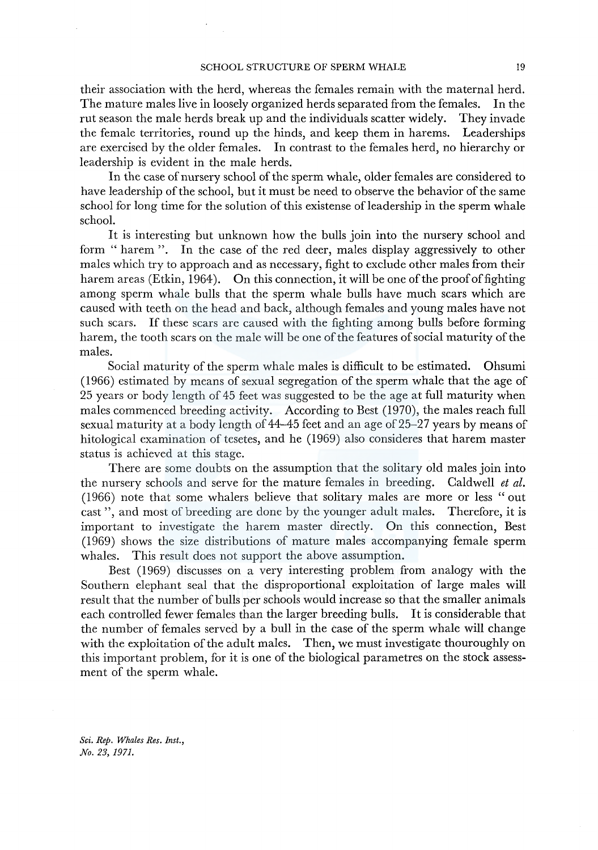their association with the herd, whereas the females remain with the maternal herd. The mature males live in loosely organized herds separated from the females. In the rut season the male herds break up and the individuals scatter widely. They invade the female territories, round up the hinds, and keep them in harems. Leaderships are exercised by the older females. In contrast to the females herd, no hierarchy or leadership is evident in the male herds.

In the case of nursery school of the sperm whale, older females are considered to have leadership of the school, but it must be need to observe the behavior of the same school for long time for the solution of this existense of leadership in the sperm whale school.

It is interesting but unknown how the bulls join into the nursery school and form " harem ". In the case of the red deer, males display aggressively to other males which try to approach and as necessary, fight to exclude other males from their harem areas (Etkin, 1964). On this connection, it will be one of the proof of fighting among sperm whale bulls that the sperm whale bulls have much scars which are caused with teeth on the head and back, although females and young males have not such scars. If these scars are caused with the fighting among bulls before forming harem, the tooth scars on the male will be one of the features of social maturity of the males.

Social maturity of the sperm whale males is difficult to be estimated. Ohsumi (1966) estimated by means of sexual segregation of the sperm whale that the age of 25 years or body length of 45 feet was suggested to be the age at full maturity when males commenced breeding activity. According to Best (1970), the males reach full sexual maturity at a body length of  $44-45$  feet and an age of 25–27 years by means of hitological examination of tesetes, and he (1969) also consideres that harem master status is achieved at this stage.

There are some doubts on the assumption that the solitary old males join into the nursery schools and serve for the mature females in breeding. Caldwell *et al.*  (1966) note that some whalers believe that solitary males are more or less "out cast ", and most of breeding are done by the younger adult males. Therefore, it is important to investigate the harem master directly. On this connection, Best (1969) shows the size distributions of mature males accompanying female sperm whales. This result does not support the above assumption.

Best (1969) discusses on a very interesting problem from analogy with the Southern elephant seal that the disproportional exploitation of large males will result that the number of bulls per schools would increase so that the smaller animals each controlled fewer females than the larger breeding bulls. It is considerable that the number of females served by a bull in the case of the sperm whale will change with the exploitation of the adult males. Then, we must investigate thouroughly on this important problem, for it is one of the biological parametres on the stock assessment of the sperm whale.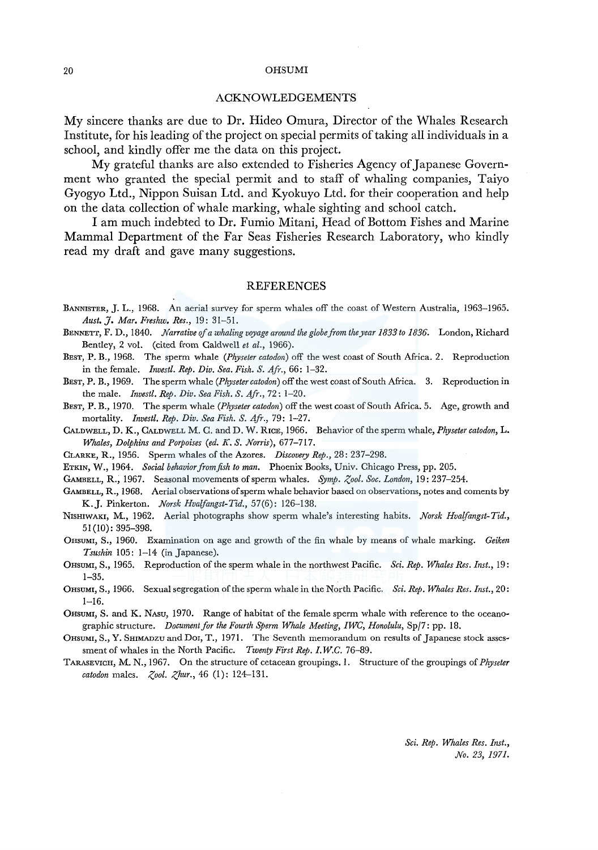### ACKNOWLEDGEMENTS

My sincere thanks are due to Dr. Hideo Omura, Director of the Whales Research Institute, for his leading of the project on special permits of taking all individuals in a school, and kindly offer me the data on this project.

My grateful thanks are also extended to Fisheries Agency of Japanese Government who granted the special permit and to staff of whaling companies, Taiyo Gyogyo Ltd., Nippon Suisan Ltd. and Kyokuyo Ltd. for their cooperation and help on the data collection of whale marking, whale sighting and school catch.

I am much indebted to Dr. Fumio Mitani, Head of Bottom Fishes and Marine Mammal Department of the Far Seas Fisheries Research Laboratory, who kindly read my draft and gave many suggestions.

### REFERENCES

- BANNISTER, J. L., 1968. An aerial survey for sperm whales off the coast of Western Australia, 1963-1965. *Aust.]. Mar. Freshw. Res.,* 19: 31-51.
- BENNETT, F. D., 1840. *Narrative of a whaling voyage around the globe from the year 1833 to 1836.* London, Richard Bentley, 2 vol. (cited from Caldwell *et al.,* 1966).
- BEST, P. B., 1968. The sperm whale *(Physeter catodon)* off the west coast of South Africa. 2. Reproduction in the female. *Invest!. Rep. Div. Sea. Fish.* S. *Afr.,* 66: 1-32.
- BEST, P. B., 1969. The sperm whale *(Physeter catodon)* off the west coast of South Africa. 3. Reproduction in the male. *Invest!. Rep. Div. Sea Fish.* S. *Afr.,* 72: 1-20.
- BEsT, P. B., 1970. The sperm whale *(Physeter catodon)* off the west coast of South Africa. 5. Age, growth and mortality. *Invest!. Rep. Div. Sea Fish. S. Afr.,* 79: 1-27.
- CALDWELL, D. K., CALDWELL M. C. and D. W. RICE, 1966. Behavior of the sperm whale, *Physeter catodon*, L. *Whales, Dolphins and Porpoises (ed. K. S. Norris),* 677-717.
- CLARKE, R., 1956. Sperm whales of the Azores. *Discovery Rep.,* 28: 237-298.
- ETKIN, W., 1964. *Social behavior from fish to man.* Phoenix Books, Univ. Chicago Press, pp. 205.
- GAMBELL, R., 1967. Seasonal movements of sperm whales. *Symp. Zoo!. Soc. London,* 19: 237-254.
- GAMBELL, R., 1968. Aerial observations of sperm whale behavior based on observations, notes and coments by K.J. Pinkerton. *Norsk Hvalfangst-Tid.,* 57(6): 126-138.
- N1sHIWAKI, M., 1962. Aerial photographs show sperm whale's interesting habits. *Norsk Hva(fangst-Tid.,*  51 ( 10): 395-398.
- OHSUMI, S., 1960. Examination on age and growth of the fin whale by means of whale marking. *Geiken Tsushin* 105: 1-14 (in Japanese).
- 0HSUMI, S., 1965. Reproduction of the sperm whale in the northwest Pacific. *Sci. Rep. Whales Res. Inst.,* 19: 1-35.
- 0HSUMI, S., 1966. Sexual segregation of the sperm whale in the North Pacific. *Sci. Rep. Whales Res. Inst.,* 20: 1-16.
- 0HSUMI, S. and K. NAsu, 1970. Range of habitat of the female sperm whale with reference to the oceanographic structure. *Document for the Fourth Sperm Whale Meeting, IWC, Honolulu,* Sp/7: pp. 18.
- OHSUMI, S., Y. SHIMADZU and DOI, T., 1971. The Seventh memorandum on results of Japanese stock assessment of whales in the North Pacific. *Twenty First Rep. I.W.C.* 76-89.
- TARASEVICH, M. N., 1967. On the structure of cetacean groupings. I. Structure of the groupings of *Physeter catodon males. Zool. Zhur.*, 46 (1): 124-131.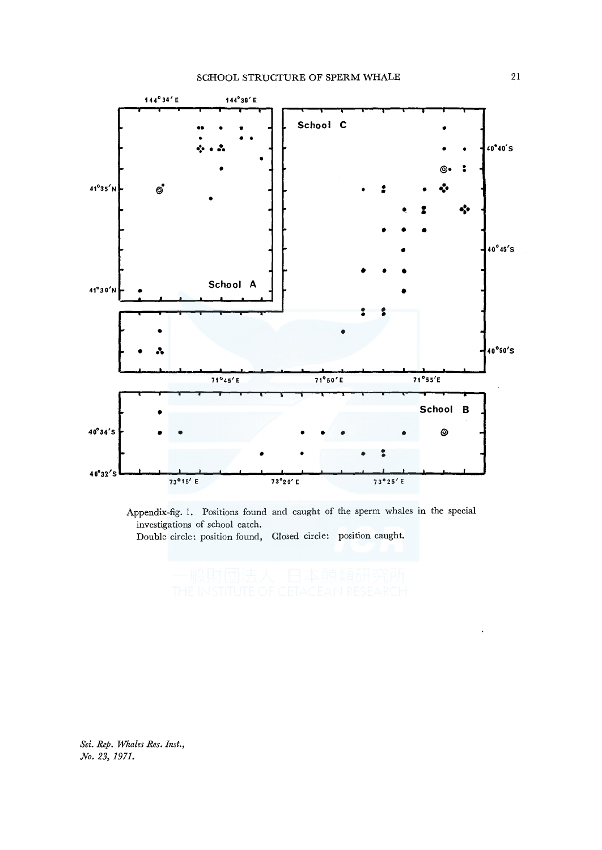

Appendix-fig. 1. Positions found and caught of the sperm whales in the special investigations of school catch.

Double circle: position found, Closed circle: position caught.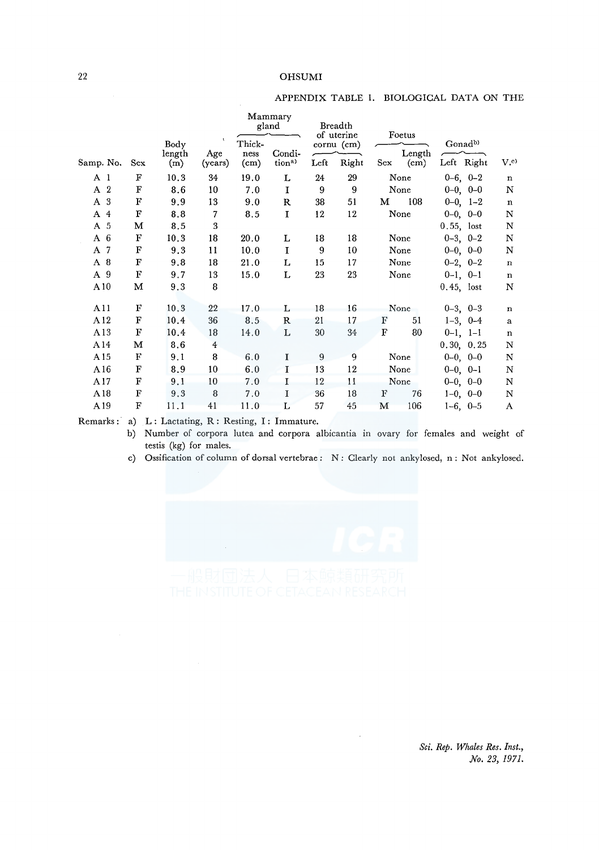# APPENDIX TABLE 1. BIOLOGICAL DATA ON THE

|                |             |                       |                     |                        | Mammary<br>gland            |        | Breadth                                     |     |                          |                                   |                |
|----------------|-------------|-----------------------|---------------------|------------------------|-----------------------------|--------|---------------------------------------------|-----|--------------------------|-----------------------------------|----------------|
| Samp. No.      | Sex         | Body<br>length<br>(m) | ×<br>Age<br>(years) | Thick-<br>ness<br>(cm) | Condi-<br>tion <sup>a</sup> | Left   | of uterine<br>$_{\rm{cornu}}$ (cm)<br>Right | Sex | Foetus<br>Length<br>(cm) | Gonad <sup>b)</sup><br>Left Right | V <sub>c</sub> |
| A <sub>1</sub> | F           | 10.3                  | 34                  | 19.0                   | L                           | 24     | 29                                          |     | None                     | $0-6, 0-2$                        | $\mathbf n$    |
| A 2            | F           | 8.6                   | 10                  | 7.0                    | $\mathbf I$                 | 9      | 9                                           |     | None                     | $0-0, 0-0$                        | $\mathbb N$    |
| A 3            | F           | 9.9                   | 13                  | 9.0                    | R                           | 38     | 51                                          | м   | 108                      | $0-0$ , $1-2$                     | $\mathbf n$    |
| A 4            | F           | 8.8                   | 7                   | 8.5                    | $\mathbf I$                 | 12     | 12                                          |     | None                     | $0-0, 0-0$                        | $\mathbb N$    |
| A 5            | M           | 8.5                   | 3                   |                        |                             |        |                                             |     |                          | $0.55$ , lost                     | N              |
| $A_6$          | F           | 10.3                  | 18                  | 20.0                   | L                           | 18     | 18                                          |     | None                     | $0-3, 0-2$                        | N              |
| A 7            | F           | 9.3                   | 11                  | 10.0                   | $\mathbf I$                 | 9      | 10                                          |     | None                     | $0-0, 0-0$                        | N              |
| A 8            | $\mathbf F$ | 9.8                   | 18                  | 21.0                   | L                           | 15     | 17                                          |     | None                     | $0-2, 0-2$                        | $\mathbf n$    |
| A 9            | ${\bf F}$   | 9.7                   | 13                  | 15.0                   | L                           | 23     | 23                                          |     | None                     | $0-1, 0-1$                        | $\mathbf n$    |
| A10            | М           | 9.3                   | 8                   |                        |                             |        |                                             |     |                          | $0.45$ , lost                     | N              |
| A11            | F           | 10.3                  | 22                  | 17.0                   | L                           | 18     | 16                                          |     | None                     | $0-3$ , $0-3$                     | $\bf n$        |
| A12            | F           | 10.4                  | 36                  | 8.5                    | $\mathbb R$                 | 21     | 17                                          | F   | 51                       | $1-3$ , $0-4$                     | $\bf{a}$       |
| A13            | F           | 10.4                  | 18                  | 14.0                   | L                           | $30\,$ | 34                                          | F   | 80                       | $0-1$ , $1-1$                     | $\mathbf n$    |
| A14            | м           | 8.6                   | $\overline{4}$      |                        |                             |        |                                             |     |                          | 0.30, 0.25                        | $\mathbf N$    |
| A15            | F           | 9.1                   | 8                   | 6.0                    | 1                           | 9      | 9                                           |     | None                     | $0-0, 0-0$                        | N              |
| A16            | F           | 8.9                   | 10                  | 6.0                    | $\mathbf I$                 | 13     | 12                                          |     | None                     | $0-0, 0-1$                        | $\mathbf N$    |
| A17            | F           | 9.1                   | 10                  | 7.0                    | I                           | 12     | 11                                          |     | None                     | $0-0, 0-0$                        | N              |
| A18            | F           | 9.3                   | 8                   | 7.0                    | I                           | 36     | 18                                          | F   | 76                       | $1-0, 0-0$                        | N              |
| A19            | F           | 11.1                  | 41                  | 11.0                   | L                           | 57     | 45                                          | М   | 106                      | $1-6$ , $0-5$                     | A              |

Remarks: a) L: Lactating, R: Resting, I: Immature.

b) Number of corpora lutea and corpora albicantia in ovary for females and weight of testis (kg) for males.

c) Ossification of column of dorsal vertebrae : N: Clearly not ankylosed, n: Not ankylosed.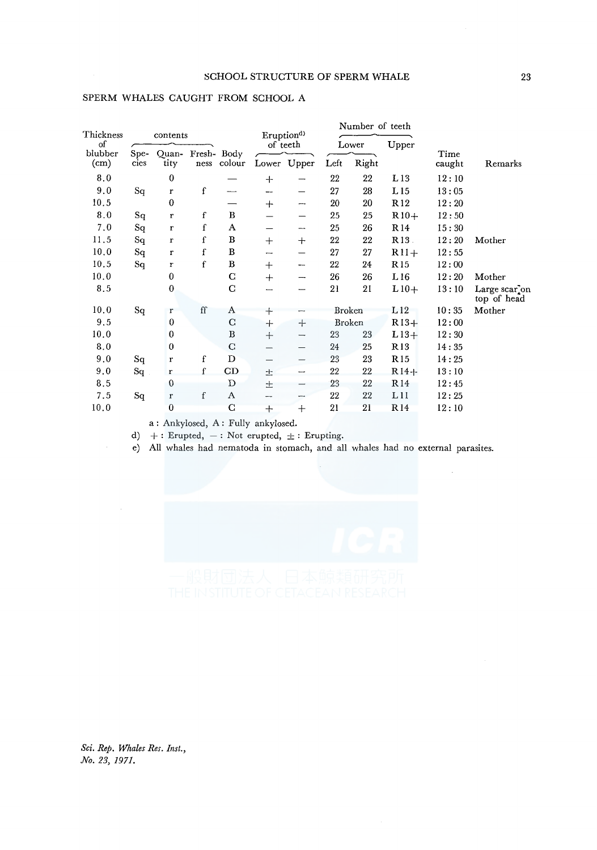| Thickness                    |              | contents       |                |                |        | Eruption <sup>d</sup> |               | Number of teeth |                 |                |                                           |
|------------------------------|--------------|----------------|----------------|----------------|--------|-----------------------|---------------|-----------------|-----------------|----------------|-------------------------------------------|
| of                           |              |                |                |                |        | of teeth              |               | Lower           | Upper           |                |                                           |
| blubber<br>(c <sub>m</sub> ) | Spe-<br>cies | Ouan-<br>tity  | Fresh-<br>ness | Body<br>colour |        | Lower Upper           | Right<br>Left |                 |                 | Time<br>caught | Remarks                                   |
| 8.0                          |              | $\bf{0}$       |                |                | $+$    |                       | 22            | 22              | L13             | 12:10          |                                           |
| 9.0                          | Sq           | r              | f              | ----           |        |                       | 27            | 28              | L15             | 13:05          |                                           |
| 10.5                         |              | $\bf{0}$       |                |                | $+$    | --                    | 20            | 20              | R <sub>12</sub> | 12:20          |                                           |
| 8.0                          | Sq           | r              | f              | В              |        |                       | 25            | 25              | $R10+$          | 12:50          |                                           |
| 7.0                          | Sq           | r              | f              | A              |        | --                    | 25            | 26              | R14             | 15:30          |                                           |
| 11.5                         | Sq           | r              | f              | B              | $^{+}$ | $^{+}$                | 22            | 22              | R <sub>13</sub> | 12:20          | Mother                                    |
| 10.0                         | $S_{q}$      | r              | f              | B              | ---    |                       | 27            | 27              | $R11+$          | 12:55          |                                           |
| 10.5                         | Sq           | $\pmb{r}$      | f              | $\, {\bf B}$   | $^{+}$ | --                    | 22            | 24              | R <sub>15</sub> | 12:00          |                                           |
| 10.0                         |              | $\mathbf{0}$   |                | $\mathbf C$    | $+$    | ⊸                     | 26            | 26              | L16             | 12:20          | Mother                                    |
| 8.5                          |              | $\bf{0}$       |                | C              |        |                       | 21            | 21              | $L10+$          | 13:10          | Large scar <sub>c</sub> on<br>top of head |
| 10.0                         | Sq           | r              | ff             | A              | $\div$ |                       | Broken        |                 | L12             | 10:35          | Mother                                    |
| 9.5                          |              | $\theta$       |                | $\mathbf C$    | $+$    | $^{+}$                |               | <b>Broken</b>   | $R13+$          | 12:00          |                                           |
| 10.0                         |              | 0              |                | $\, {\bf B}$   | $+$    | —                     | 23            | 23              | $L13+$          | 12:30          |                                           |
| 8.0                          |              | 0              |                | $\mathbf C$    |        |                       | 24            | 25              | R <sub>13</sub> | 14:35          |                                           |
| 9.0                          | Sq           | r              | f              | D              |        |                       | 23            | 23              | R <sub>15</sub> | 14:25          |                                           |
| 9.0                          | Sq           | r              | $\mathbf f$    | CD             | 士      | ---                   | 22            | 22              | $R14+$          | 13:10          |                                           |
| 8.5                          |              | $\mathbf{0}$   |                | D              | 土      |                       | 23            | 22              | R <sub>14</sub> | 12:45          |                                           |
| 7.5                          | Sq           | r              | f              | A              | ---    | ⊷                     | 22            | 22              | L11             | 12:25          |                                           |
| 10.0                         |              | $\overline{0}$ |                | $\mathbf C$    | $\div$ | $^{+}$                | 21            | 21              | R <sub>14</sub> | 12:10          |                                           |
|                              |              |                |                |                |        |                       |               |                 |                 |                |                                           |

### SPERM WHALES CAUGHT FROM SCHOOL A

a : Ankylosed, A : Fully ankylosed.

d)  $+$  : Erupted,  $-$  : Not erupted,  $\pm$  : Erupting.

e) All whales had nematoda in stomach, and all whales had no external parasites.

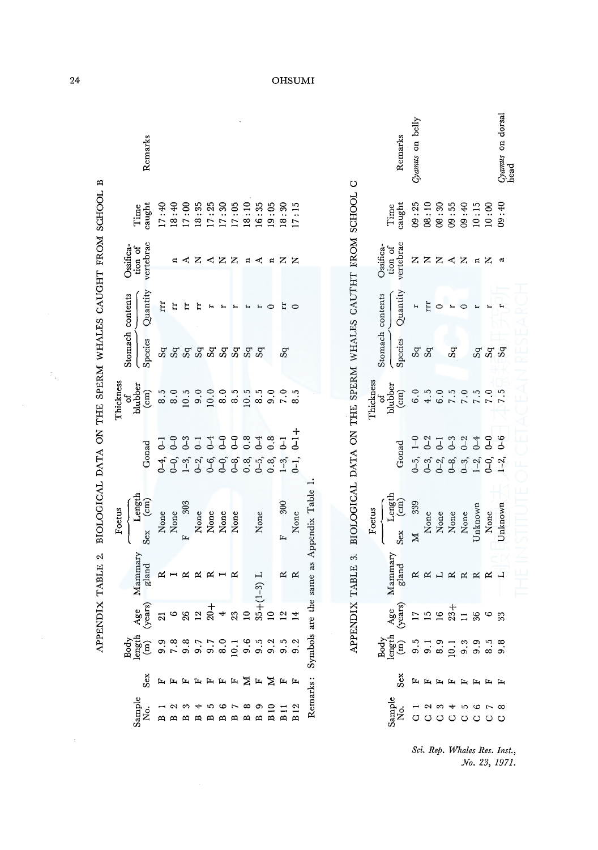|                                                                            | Stomach contents $\overline{O}$ ssifica-<br>$\overline{O}$ fion of Time<br>Species $\overline{O}$ yertebrae caught<br>$S_q$ $\overline{H}$<br>$S_q$ $\overline{H}$ $\overline{H}$<br>$\overline{S}$<br>$\overline{S}$ $\overline{H}$ $\overline{H}$ $\overline{H}$<br>$\overline{S}$ $\overline{H}$ $\overline{H}$ $\overline{H}$ $\overline{H$                                                                                                                                                                                                    |                                          |  |  |
|----------------------------------------------------------------------------|----------------------------------------------------------------------------------------------------------------------------------------------------------------------------------------------------------------------------------------------------------------------------------------------------------------------------------------------------------------------------------------------------------------------------------------------------------------------------------------------------------------------------------------------------|------------------------------------------|--|--|
|                                                                            |                                                                                                                                                                                                                                                                                                                                                                                                                                                                                                                                                    |                                          |  |  |
|                                                                            |                                                                                                                                                                                                                                                                                                                                                                                                                                                                                                                                                    |                                          |  |  |
|                                                                            |                                                                                                                                                                                                                                                                                                                                                                                                                                                                                                                                                    |                                          |  |  |
|                                                                            | Thickness<br>of<br>blubber<br>(cm)<br>(3.5<br>8.0<br>8.0                                                                                                                                                                                                                                                                                                                                                                                                                                                                                           |                                          |  |  |
|                                                                            |                                                                                                                                                                                                                                                                                                                                                                                                                                                                                                                                                    | Gonad<br>0-4, 0-1<br>0-0, 0-0<br>1-3 0-3 |  |  |
| APPENDIX TABLE 2. BIOLOGICAL DATA ON THE SPERM WHALES CAUGHT FROM SCHOOL B | $\begin{tabular}{l} \textbf{F}oetus \\ \hline \textbf{Length} \\ \textbf{Sex} \\ \textbf{Xex} \\ \textbf{None} \\ \textbf{None} \\ \textbf{None} \\ \textbf{None} \\ \textbf{None} \\ \textbf{None} \\ \textbf{None} \\ \textbf{None} \\ \textbf{None} \\ \textbf{None} \\ \textbf{None} \\ \textbf{None} \\ \textbf{None} \\ \textbf{None} \\ \textbf{None} \\ \textbf{None} \\ \textbf{None} \\ \textbf{None} \\ \textbf{None} \\ \textbf{None} \\ \textbf{None} \\ \textbf{None} \\ \textbf{None} \\ \textbf{None} \\ \textbf{None} \\ \textbf$ |                                          |  |  |
|                                                                            | $\begin{tabular}{lllllllllll} \text{Body} & \text{Body} & \text{Mammary} & \text{\textit{C}} \ \text{N0.} & \text{Sex} & \text{(m)} & \text{(years)} & \text{Mammary} & \text{S} \ \text{N0.} & \text{Sex} & \text{(m)} & \text{(years)} & \text{gland} & \text{S} \ \text{B 1} & \text{F} & 9.9 & 21 & \text{R} & \text{R} \ \text{B 2} & \text{F} & 7.8 & \text{G} & \text{I} & \text{R} & \text{R} & \text{R} \ \text{R 3} & \text{R$                                                                                                           |                                          |  |  |
|                                                                            |                                                                                                                                                                                                                                                                                                                                                                                                                                                                                                                                                    |                                          |  |  |
|                                                                            |                                                                                                                                                                                                                                                                                                                                                                                                                                                                                                                                                    |                                          |  |  |
|                                                                            |                                                                                                                                                                                                                                                                                                                                                                                                                                                                                                                                                    |                                          |  |  |
|                                                                            |                                                                                                                                                                                                                                                                                                                                                                                                                                                                                                                                                    |                                          |  |  |

|                                                                                                                                                                                                                                                                                                                                                                                                                                                                                                                                                                                                                                                                                | <b>DHSUMI</b>                                    |  |  |  |  |  |  |  |  |  |                                   |  |
|--------------------------------------------------------------------------------------------------------------------------------------------------------------------------------------------------------------------------------------------------------------------------------------------------------------------------------------------------------------------------------------------------------------------------------------------------------------------------------------------------------------------------------------------------------------------------------------------------------------------------------------------------------------------------------|--------------------------------------------------|--|--|--|--|--|--|--|--|--|-----------------------------------|--|
| temarks                                                                                                                                                                                                                                                                                                                                                                                                                                                                                                                                                                                                                                                                        |                                                  |  |  |  |  |  |  |  |  |  |                                   |  |
| $\begin{array}{l} \text{Time} \\ \text{Final} \\ \text{The output} \\ \text{The output} \\ \text{The output} \\ \text{The output} \\ \text{The output} \\ \text{The output} \\ \text{The output} \\ \text{The output} \\ \text{The output} \\ \text{The output} \\ \text{The output} \\ \text{The output} \\ \text{The output} \\ \text{The output} \\ \text{The output} \\ \text{The output} \\ \text{The output} \\ \text{The output} \\ \text{The output} \\ \text{The output} \\ \text{The output} \\ \text{The output} \\ \text{The output} \\ \text{The output} \\ \text{The output} \\ \text{The output} \\ \text{The output} \\ \text{The output} \\ \text{The output$ |                                                  |  |  |  |  |  |  |  |  |  |                                   |  |
| tion of<br>ertebrae                                                                                                                                                                                                                                                                                                                                                                                                                                                                                                                                                                                                                                                            |                                                  |  |  |  |  |  |  |  |  |  | z <mark>&lt;</mark> z z ¤ < ¤ z z |  |
| $\begin{cases} \frac{1}{2} & \text{if } t \in \mathbb{R}^n, \\ \frac{1}{2} & \text{if } t \in \mathbb{R}^n. \end{cases}$                                                                                                                                                                                                                                                                                                                                                                                                                                                                                                                                                       |                                                  |  |  |  |  |  |  |  |  |  |                                   |  |
| <br>  និ<br>  និងនិងស្នងនិង និង និ                                                                                                                                                                                                                                                                                                                                                                                                                                                                                                                                                                                                                                             |                                                  |  |  |  |  |  |  |  |  |  |                                   |  |
|                                                                                                                                                                                                                                                                                                                                                                                                                                                                                                                                                                                                                                                                                |                                                  |  |  |  |  |  |  |  |  |  |                                   |  |
| $\operatorname{Gonad}$                                                                                                                                                                                                                                                                                                                                                                                                                                                                                                                                                                                                                                                         | ှ<br>+ ၁၈၈၀ဝေတ်တွေ့<br>- - - - - - - - - - - - - |  |  |  |  |  |  |  |  |  |                                   |  |
|                                                                                                                                                                                                                                                                                                                                                                                                                                                                                                                                                                                                                                                                                |                                                  |  |  |  |  |  |  |  |  |  |                                   |  |
|                                                                                                                                                                                                                                                                                                                                                                                                                                                                                                                                                                                                                                                                                |                                                  |  |  |  |  |  |  |  |  |  |                                   |  |
|                                                                                                                                                                                                                                                                                                                                                                                                                                                                                                                                                                                                                                                                                |                                                  |  |  |  |  |  |  |  |  |  |                                   |  |
|                                                                                                                                                                                                                                                                                                                                                                                                                                                                                                                                                                                                                                                                                |                                                  |  |  |  |  |  |  |  |  |  |                                   |  |
|                                                                                                                                                                                                                                                                                                                                                                                                                                                                                                                                                                                                                                                                                |                                                  |  |  |  |  |  |  |  |  |  |                                   |  |
|                                                                                                                                                                                                                                                                                                                                                                                                                                                                                                                                                                                                                                                                                |                                                  |  |  |  |  |  |  |  |  |  |                                   |  |

APPENDIX TABLE 3. BIOLOGICAL DATA ON THE SPERM WHALES CAUTHT FROM SCHOOL C APPENDIX TABLE 3. BIOLOGICAL DATA ON THE SPERM WHALES CAUTHT FROM SCHOOL C

|                                                           |        |                                                                                                                                                                                                                                                                                                                                                                                                                                                                                                                          | Remarks<br>Cyanus on belly |  |  |  | <i>Jyamus</i> on dorsal<br>nead                                                                                                                                                                                                                                                                                                                                                                        |
|-----------------------------------------------------------|--------|--------------------------------------------------------------------------------------------------------------------------------------------------------------------------------------------------------------------------------------------------------------------------------------------------------------------------------------------------------------------------------------------------------------------------------------------------------------------------------------------------------------------------|----------------------------|--|--|--|--------------------------------------------------------------------------------------------------------------------------------------------------------------------------------------------------------------------------------------------------------------------------------------------------------------------------------------------------------------------------------------------------------|
|                                                           |        | $\begin{array}{l} \mbox{first} \\ \mbox{first} \\ \mbox{equation:} \\ \mbox{first} \\ \mbox{first} \\ \mbox{first} \\ \mbox{first} \\ \mbox{first} \\ \mbox{first} \\ \mbox{first} \\ \mbox{first} \\ \mbox{first} \\ \mbox{first} \\ \mbox{first} \\ \mbox{first} \\ \mbox{first} \\ \mbox{first} \\ \mbox{first} \\ \mbox{first} \\ \mbox{first} \\ \mbox{first} \\ \mbox{first} \\ \mbox{first} \\ \mbox{first} \\ \mbox{first} \\ \mbox{first} \\ \mbox{first} \\ \mbox{first} \\ \mbox{first} \\ \mbox{first} \\ \$ |                            |  |  |  |                                                                                                                                                                                                                                                                                                                                                                                                        |
|                                                           |        | $\begin{array}{l} \texttt{s.t.} \\ \texttt{is.} \\ \texttt{d} \texttt{is.} \\ \texttt{d} \texttt{is.} \\ \texttt{d} \texttt{is.} \\ \texttt{d} \texttt{is.} \\ \texttt{d} \texttt{is.} \\ \texttt{d} \texttt{is.} \\ \texttt{d} \texttt{is.} \\ \texttt{d} \texttt{is.} \\ \texttt{d} \texttt{is.} \\ \texttt{d} \texttt{is.} \\ \texttt{d} \texttt{is.} \\ \texttt{d} \texttt{is.} \\ \texttt{d} \texttt{is.} \\ \texttt{d} \texttt{is.} \\$                                                                            |                            |  |  |  |                                                                                                                                                                                                                                                                                                                                                                                                        |
|                                                           |        |                                                                                                                                                                                                                                                                                                                                                                                                                                                                                                                          |                            |  |  |  |                                                                                                                                                                                                                                                                                                                                                                                                        |
|                                                           |        | $\begin{tabular}{l} \textit{Stomach contents} \\ \hline \textit{Species} & \textit{Quantity} \\ \textit{Sq} & r \\ \textit{Sq} & r \\ \textit{Sq} & r \\ \textit{Sq} & \textit{tr} \\ \end{tabular}$                                                                                                                                                                                                                                                                                                                     |                            |  |  |  | ន<br>នី និននិ                                                                                                                                                                                                                                                                                                                                                                                          |
|                                                           |        | Thickness<br>$\begin{array}{c} \text{chidsner} \\ \text{bubble} \\ \text{in} \\ \text{in} \\ \text{in} \\ \text{in} \\ \text{in} \\ \text{in} \\ \text{in} \\ \text{in} \\ \text{in} \\ \text{in} \\ \text{in} \\ \text{in} \\ \text{in} \\ \text{in} \\ \text{in} \\ \text{in} \\ \text{in} \\ \text{in} \\ \text{in} \\ \text{in} \\ \text{in} \\ \text{in} \\ \text{in} \\ \text{in} \\ \text{in} \\ \text{in} \\ \text{in} \\ \text{in} \\ \text{in} \\ \text{in} \\ \text{in} \\ \$                                 |                            |  |  |  |                                                                                                                                                                                                                                                                                                                                                                                                        |
| BIODLOGICAL DATA ON THE SPERM WHALES CAUTHT FROM SCHOOL G |        | Gonad                                                                                                                                                                                                                                                                                                                                                                                                                                                                                                                    |                            |  |  |  | $\begin{array}{cccccccccc} -1 & -2 & -3 & -4 & -6 & -6 \\ -1 & -1 & -1 & -1 & -1 & -1 \\ -1 & -1 & -1 & -1 & -1 & -1 \\ -1 & -1 & -1 & -1 & -1 & -1 \\ -1 & -1 & -1 & -1 & -1 & -1 \\ -1 & -1 & -1 & -1 & -1 & -1 \\ -1 & -1 & -1 & -1 & -1 & -1 \\ -1 & -1 & -1 & -1 & -1 & -1 \\ -1 & -1 & -1 & -1 & -1 & -1 \\ -1 & -1 & -1 & -1 & -1 & -1 \\ -1 & -1 & -1 & -1 & -1 & -1 \\ -1 & -1 & -1 & -1 & -$ |
|                                                           | Foetus | $\begin{tabular}{ll} \hline \textbf{Length} \\ \hline \textbf{3} & (cm) \\ \textbf{M} & 339 \\ \textbf{None} \\ \textbf{None} \\ \textbf{None} \\ \textbf{None} \\ \textbf{None} \\ \textbf{None} \\ \textbf{None} \\ \textbf{None} \\ \textbf{None} \\ \textbf{None} \\ \textbf{None} \\ \end{tabular}$                                                                                                                                                                                                                 |                            |  |  |  |                                                                                                                                                                                                                                                                                                                                                                                                        |
| <b>INDIX TABLE 3.</b>                                     |        | danna<br>Tang<br>Tang R R H R R R R H                                                                                                                                                                                                                                                                                                                                                                                                                                                                                    |                            |  |  |  |                                                                                                                                                                                                                                                                                                                                                                                                        |
|                                                           |        |                                                                                                                                                                                                                                                                                                                                                                                                                                                                                                                          |                            |  |  |  |                                                                                                                                                                                                                                                                                                                                                                                                        |
|                                                           |        | ကြိုင်း<br>ထိုင်းခြာ မြင်မာမိုင်း မြင်မာမိုင်း<br>ထိုင်းခြား                                                                                                                                                                                                                                                                                                                                                                                                                                                             |                            |  |  |  |                                                                                                                                                                                                                                                                                                                                                                                                        |
|                                                           |        |                                                                                                                                                                                                                                                                                                                                                                                                                                                                                                                          | s<br>S F F F F F F F F     |  |  |  |                                                                                                                                                                                                                                                                                                                                                                                                        |
|                                                           |        |                                                                                                                                                                                                                                                                                                                                                                                                                                                                                                                          |                            |  |  |  |                                                                                                                                                                                                                                                                                                                                                                                                        |
|                                                           |        |                                                                                                                                                                                                                                                                                                                                                                                                                                                                                                                          |                            |  |  |  | Sci. Rep. Whales Res. Inst.,<br>No. 23, 1971.                                                                                                                                                                                                                                                                                                                                                          |

Sci. Rep. Whales Res. Inst.,<br>No. 23, 1971.

l,